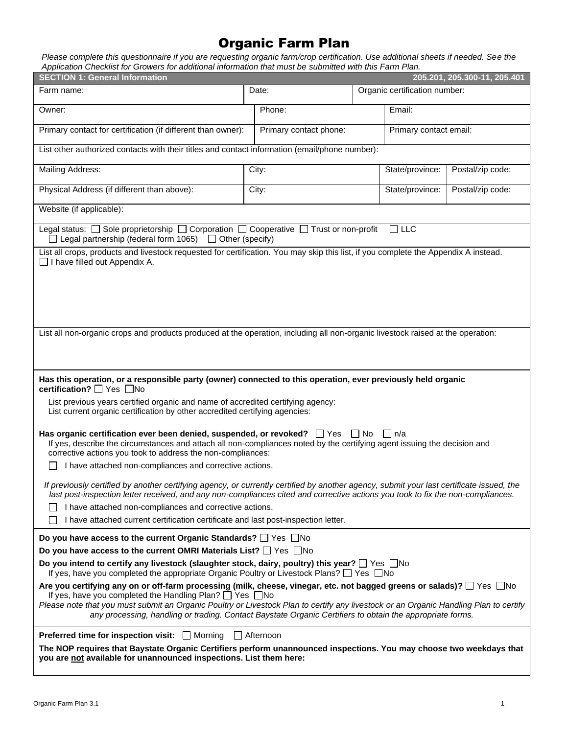# Organic Farm Plan

*Please complete this questionnaire if you are requesting organic farm/crop certification. Use additional sheets if needed. See the Application Checklist for Growers for additional information that must be submitted with this Farm Plan.*

| <b>SECTION 1: General Information</b><br>205.201, 205.300-11, 205.401                                                                                                                                                                                                       |                                                                                                                                                                                                                                                                                                                                                                                                                                                              |                        |                               |                        |                  |  |
|-----------------------------------------------------------------------------------------------------------------------------------------------------------------------------------------------------------------------------------------------------------------------------|--------------------------------------------------------------------------------------------------------------------------------------------------------------------------------------------------------------------------------------------------------------------------------------------------------------------------------------------------------------------------------------------------------------------------------------------------------------|------------------------|-------------------------------|------------------------|------------------|--|
| Farm name:                                                                                                                                                                                                                                                                  |                                                                                                                                                                                                                                                                                                                                                                                                                                                              | Date:                  | Organic certification number: |                        |                  |  |
| Owner:                                                                                                                                                                                                                                                                      |                                                                                                                                                                                                                                                                                                                                                                                                                                                              | Phone:                 |                               | Email:                 |                  |  |
| Primary contact for certification (if different than owner):                                                                                                                                                                                                                |                                                                                                                                                                                                                                                                                                                                                                                                                                                              | Primary contact phone: |                               | Primary contact email: |                  |  |
| List other authorized contacts with their titles and contact information (email/phone number):                                                                                                                                                                              |                                                                                                                                                                                                                                                                                                                                                                                                                                                              |                        |                               |                        |                  |  |
| Mailing Address:                                                                                                                                                                                                                                                            |                                                                                                                                                                                                                                                                                                                                                                                                                                                              | City:                  |                               | State/province:        | Postal/zip code: |  |
| Physical Address (if different than above):                                                                                                                                                                                                                                 |                                                                                                                                                                                                                                                                                                                                                                                                                                                              | City:                  |                               | State/province:        | Postal/zip code: |  |
| Website (if applicable):                                                                                                                                                                                                                                                    |                                                                                                                                                                                                                                                                                                                                                                                                                                                              |                        |                               |                        |                  |  |
| Legal status: $\Box$ Sole proprietorship $\Box$ Corporation $\Box$ Cooperative $\Box$ Trust or non-profit<br>Legal partnership (federal form 1065) $\Box$ Other (specify)                                                                                                   |                                                                                                                                                                                                                                                                                                                                                                                                                                                              |                        |                               | ן ⊔ר                   |                  |  |
| List all crops, products and livestock requested for certification. You may skip this list, if you complete the Appendix A instead.<br>□ I have filled out Appendix A.                                                                                                      |                                                                                                                                                                                                                                                                                                                                                                                                                                                              |                        |                               |                        |                  |  |
| List all non-organic crops and products produced at the operation, including all non-organic livestock raised at the operation:                                                                                                                                             |                                                                                                                                                                                                                                                                                                                                                                                                                                                              |                        |                               |                        |                  |  |
| Has this operation, or a responsible party (owner) connected to this operation, ever previously held organic<br>certification? $\Box$ Yes $\Box$ No                                                                                                                         |                                                                                                                                                                                                                                                                                                                                                                                                                                                              |                        |                               |                        |                  |  |
| List previous years certified organic and name of accredited certifying agency:<br>List current organic certification by other accredited certifying agencies:                                                                                                              |                                                                                                                                                                                                                                                                                                                                                                                                                                                              |                        |                               |                        |                  |  |
| Has organic certification ever been denied, suspended, or revoked? $\Box$ Yes<br>If yes, describe the circumstances and attach all non-compliances noted by the certifying agent issuing the decision and<br>corrective actions you took to address the non-compliances:    |                                                                                                                                                                                                                                                                                                                                                                                                                                                              |                        | l No                          | l In/a                 |                  |  |
| I have attached non-compliances and corrective actions.                                                                                                                                                                                                                     |                                                                                                                                                                                                                                                                                                                                                                                                                                                              |                        |                               |                        |                  |  |
| If previously certified by another certifying agency, or currently certified by another agency, submit your last certificate issued, the<br>last post-inspection letter received, and any non-compliances cited and corrective actions you took to fix the non-compliances. |                                                                                                                                                                                                                                                                                                                                                                                                                                                              |                        |                               |                        |                  |  |
| I have attached non-compliances and corrective actions.<br>I have attached current certification certificate and last post-inspection letter.                                                                                                                               |                                                                                                                                                                                                                                                                                                                                                                                                                                                              |                        |                               |                        |                  |  |
| Do you have access to the current Organic Standards? □ Yes □ No                                                                                                                                                                                                             |                                                                                                                                                                                                                                                                                                                                                                                                                                                              |                        |                               |                        |                  |  |
| Do you have access to the current OMRI Materials List? $\Box$ Yes $\Box$ No                                                                                                                                                                                                 |                                                                                                                                                                                                                                                                                                                                                                                                                                                              |                        |                               |                        |                  |  |
| Do you intend to certify any livestock (slaughter stock, dairy, poultry) this year? $\Box$ Yes $\Box$ No<br>If yes, have you completed the appropriate Organic Poultry or Livestock Plans? $\Box$ Yes $\Box$ No                                                             |                                                                                                                                                                                                                                                                                                                                                                                                                                                              |                        |                               |                        |                  |  |
|                                                                                                                                                                                                                                                                             | Are you certifying any on or off-farm processing (milk, cheese, vinegar, etc. not bagged greens or salads)? $\Box$ Yes $\Box$ No<br>If yes, have you completed the Handling Plan? $\Box$ Yes $\Box$ No<br>Please note that you must submit an Organic Poultry or Livestock Plan to certify any livestock or an Organic Handling Plan to certify<br>any processing, handling or trading. Contact Baystate Organic Certifiers to obtain the appropriate forms. |                        |                               |                        |                  |  |
| Preferred time for inspection visit: □ Morning<br><b>□ Afternoon</b><br>The NOP requires that Baystate Organic Certifiers perform unannounced inspections. You may choose two weekdays that<br>you are not available for unannounced inspections. List them here:           |                                                                                                                                                                                                                                                                                                                                                                                                                                                              |                        |                               |                        |                  |  |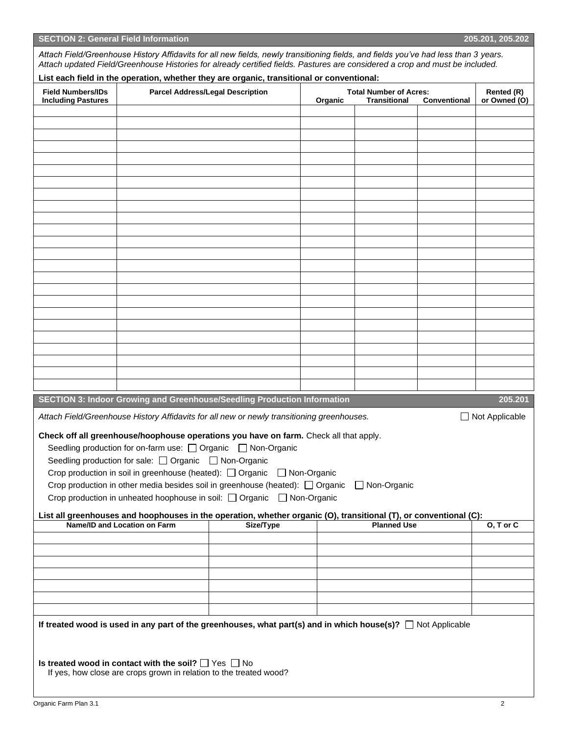| <b>SECTION 2: General Field Information</b> | Attach Field/Greenhouse History Affidavits for all new fields, newly transitioning fields, and fields you've had less than 3 years.<br>Attach updated Field/Greenhouse Histories for already certified fields. Pastures are considered a crop and must be included.                       |                                                                                    |         |                                                                      |  | 205.201, 205.202 |
|---------------------------------------------|-------------------------------------------------------------------------------------------------------------------------------------------------------------------------------------------------------------------------------------------------------------------------------------------|------------------------------------------------------------------------------------|---------|----------------------------------------------------------------------|--|------------------|
| <b>Field Numbers/IDs</b>                    | List each field in the operation, whether they are organic, transitional or conventional:<br><b>Parcel Address/Legal Description</b>                                                                                                                                                      |                                                                                    |         | <b>Total Number of Acres:</b><br><b>Transitional</b><br>Conventional |  |                  |
| <b>Including Pastures</b>                   |                                                                                                                                                                                                                                                                                           |                                                                                    | Organic |                                                                      |  | or Owned (O)     |
|                                             |                                                                                                                                                                                                                                                                                           |                                                                                    |         |                                                                      |  |                  |
|                                             |                                                                                                                                                                                                                                                                                           |                                                                                    |         |                                                                      |  |                  |
|                                             |                                                                                                                                                                                                                                                                                           |                                                                                    |         |                                                                      |  |                  |
|                                             |                                                                                                                                                                                                                                                                                           |                                                                                    |         |                                                                      |  |                  |
|                                             |                                                                                                                                                                                                                                                                                           |                                                                                    |         |                                                                      |  |                  |
|                                             |                                                                                                                                                                                                                                                                                           |                                                                                    |         |                                                                      |  |                  |
|                                             |                                                                                                                                                                                                                                                                                           |                                                                                    |         |                                                                      |  |                  |
|                                             |                                                                                                                                                                                                                                                                                           |                                                                                    |         |                                                                      |  |                  |
|                                             |                                                                                                                                                                                                                                                                                           |                                                                                    |         |                                                                      |  |                  |
|                                             |                                                                                                                                                                                                                                                                                           |                                                                                    |         |                                                                      |  |                  |
|                                             |                                                                                                                                                                                                                                                                                           |                                                                                    |         |                                                                      |  |                  |
|                                             |                                                                                                                                                                                                                                                                                           |                                                                                    |         |                                                                      |  |                  |
|                                             |                                                                                                                                                                                                                                                                                           |                                                                                    |         |                                                                      |  |                  |
|                                             |                                                                                                                                                                                                                                                                                           |                                                                                    |         |                                                                      |  |                  |
|                                             |                                                                                                                                                                                                                                                                                           |                                                                                    |         |                                                                      |  |                  |
|                                             |                                                                                                                                                                                                                                                                                           |                                                                                    |         |                                                                      |  |                  |
|                                             |                                                                                                                                                                                                                                                                                           |                                                                                    |         |                                                                      |  |                  |
|                                             | <b>SECTION 3: Indoor Growing and Greenhouse/Seedling Production Information</b>                                                                                                                                                                                                           |                                                                                    |         |                                                                      |  | 205.201          |
|                                             | Attach Field/Greenhouse History Affidavits for all new or newly transitioning greenhouses.                                                                                                                                                                                                |                                                                                    |         |                                                                      |  | □ Not Applicable |
|                                             | Check off all greenhouse/hoophouse operations you have on farm. Check all that apply.<br>Seedling production for on-farm use: □ Organic □ Non-Organic<br>Seedling production for sale: □ Organic □ Non-Organic<br>Crop production in soil in greenhouse (heated): □ Organic □ Non-Organic | Crop production in other media besides soil in greenhouse (heated): $\Box$ Organic |         | □ Non-Organic                                                        |  |                  |

**If treated wood is used in any part of the greenhouses, what part(s) and in which house(s)?** □ Not Applicable

**Is treated wood in contact with the soil?** □ Yes □ No If yes, how close are crops grown in relation to the treated wood? **SECTION 2: General Field Information 205.201, 205.202**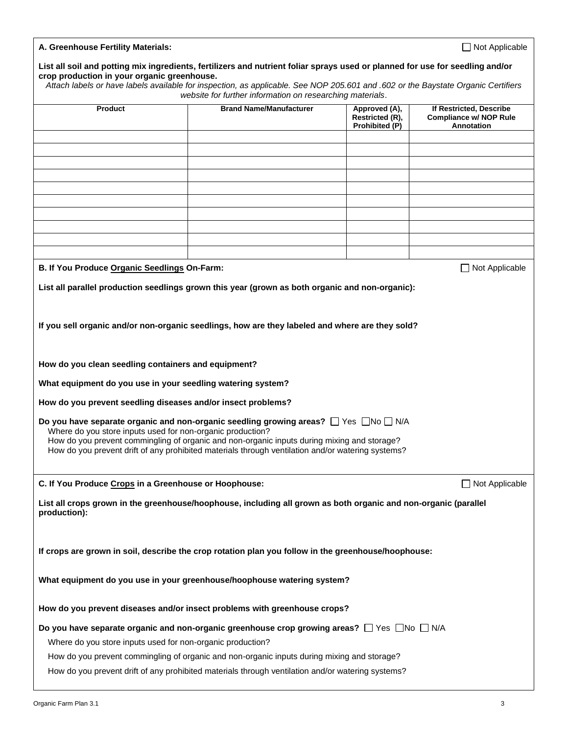| A. Greenhouse Fertility Materials:                                                                                                                                                                                                                                                                                                                                             | □ Not Applicable                                                        |                                                                        |                       |  |  |  |  |
|--------------------------------------------------------------------------------------------------------------------------------------------------------------------------------------------------------------------------------------------------------------------------------------------------------------------------------------------------------------------------------|-------------------------------------------------------------------------|------------------------------------------------------------------------|-----------------------|--|--|--|--|
| List all soil and potting mix ingredients, fertilizers and nutrient foliar sprays used or planned for use for seedling and/or<br>crop production in your organic greenhouse.<br>Attach labels or have labels available for inspection, as applicable. See NOP 205.601 and .602 or the Baystate Organic Certifiers<br>website for further information on researching materials. |                                                                         |                                                                        |                       |  |  |  |  |
| <b>Product</b>                                                                                                                                                                                                                                                                                                                                                                 | <b>Brand Name/Manufacturer</b>                                          | If Restricted, Describe<br><b>Compliance w/ NOP Rule</b><br>Annotation |                       |  |  |  |  |
|                                                                                                                                                                                                                                                                                                                                                                                |                                                                         | Prohibited (P)                                                         |                       |  |  |  |  |
|                                                                                                                                                                                                                                                                                                                                                                                |                                                                         |                                                                        |                       |  |  |  |  |
|                                                                                                                                                                                                                                                                                                                                                                                |                                                                         |                                                                        |                       |  |  |  |  |
|                                                                                                                                                                                                                                                                                                                                                                                |                                                                         |                                                                        |                       |  |  |  |  |
|                                                                                                                                                                                                                                                                                                                                                                                |                                                                         |                                                                        |                       |  |  |  |  |
|                                                                                                                                                                                                                                                                                                                                                                                |                                                                         |                                                                        |                       |  |  |  |  |
|                                                                                                                                                                                                                                                                                                                                                                                |                                                                         |                                                                        |                       |  |  |  |  |
|                                                                                                                                                                                                                                                                                                                                                                                |                                                                         |                                                                        |                       |  |  |  |  |
| B. If You Produce Organic Seedlings On-Farm:                                                                                                                                                                                                                                                                                                                                   |                                                                         |                                                                        | $\Box$ Not Applicable |  |  |  |  |
| List all parallel production seedlings grown this year (grown as both organic and non-organic):                                                                                                                                                                                                                                                                                |                                                                         |                                                                        |                       |  |  |  |  |
|                                                                                                                                                                                                                                                                                                                                                                                |                                                                         |                                                                        |                       |  |  |  |  |
| If you sell organic and/or non-organic seedlings, how are they labeled and where are they sold?                                                                                                                                                                                                                                                                                |                                                                         |                                                                        |                       |  |  |  |  |
| How do you clean seedling containers and equipment?                                                                                                                                                                                                                                                                                                                            |                                                                         |                                                                        |                       |  |  |  |  |
| What equipment do you use in your seedling watering system?                                                                                                                                                                                                                                                                                                                    |                                                                         |                                                                        |                       |  |  |  |  |
| How do you prevent seedling diseases and/or insect problems?                                                                                                                                                                                                                                                                                                                   |                                                                         |                                                                        |                       |  |  |  |  |
| Do you have separate organic and non-organic seedling growing areas? $\Box$ Yes $\Box$ No $\Box$ N/A<br>Where do you store inputs used for non-organic production?<br>How do you prevent commingling of organic and non-organic inputs during mixing and storage?<br>How do you prevent drift of any prohibited materials through ventilation and/or watering systems?         |                                                                         |                                                                        |                       |  |  |  |  |
| C. If You Produce Crops in a Greenhouse or Hoophouse:<br>$\Box$ Not Applicable                                                                                                                                                                                                                                                                                                 |                                                                         |                                                                        |                       |  |  |  |  |
| List all crops grown in the greenhouse/hoophouse, including all grown as both organic and non-organic (parallel<br>production):                                                                                                                                                                                                                                                |                                                                         |                                                                        |                       |  |  |  |  |
| If crops are grown in soil, describe the crop rotation plan you follow in the greenhouse/hoophouse:                                                                                                                                                                                                                                                                            |                                                                         |                                                                        |                       |  |  |  |  |
|                                                                                                                                                                                                                                                                                                                                                                                | What equipment do you use in your greenhouse/hoophouse watering system? |                                                                        |                       |  |  |  |  |
| How do you prevent diseases and/or insect problems with greenhouse crops?                                                                                                                                                                                                                                                                                                      |                                                                         |                                                                        |                       |  |  |  |  |
| Do you have separate organic and non-organic greenhouse crop growing areas? $\Box$ Yes $\Box$ No $\Box$ N/A                                                                                                                                                                                                                                                                    |                                                                         |                                                                        |                       |  |  |  |  |
| Where do you store inputs used for non-organic production?                                                                                                                                                                                                                                                                                                                     |                                                                         |                                                                        |                       |  |  |  |  |
| How do you prevent commingling of organic and non-organic inputs during mixing and storage?                                                                                                                                                                                                                                                                                    |                                                                         |                                                                        |                       |  |  |  |  |
| How do you prevent drift of any prohibited materials through ventilation and/or watering systems?                                                                                                                                                                                                                                                                              |                                                                         |                                                                        |                       |  |  |  |  |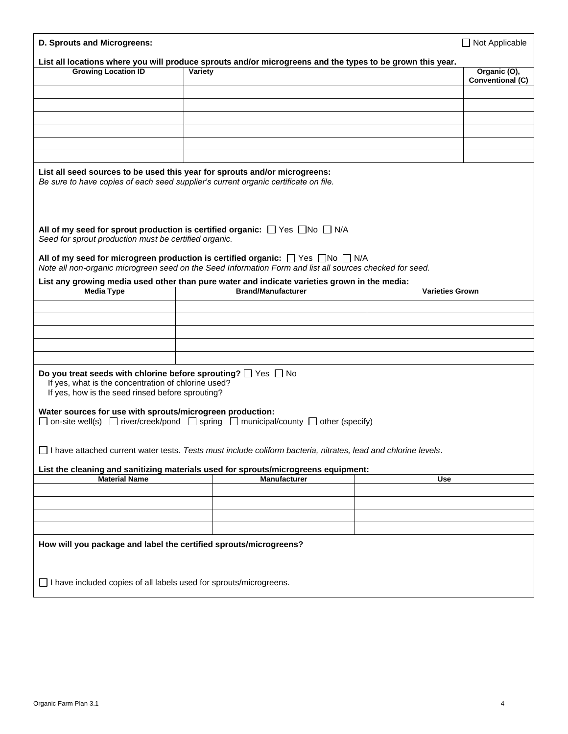| D. Sprouts and Microgreens:                                                                                                                                                        |         |                                                                                                                                                                                                            |                        | $\Box$ Not Applicable   |  |
|------------------------------------------------------------------------------------------------------------------------------------------------------------------------------------|---------|------------------------------------------------------------------------------------------------------------------------------------------------------------------------------------------------------------|------------------------|-------------------------|--|
|                                                                                                                                                                                    |         | List all locations where you will produce sprouts and/or microgreens and the types to be grown this year.                                                                                                  |                        |                         |  |
| <b>Growing Location ID</b>                                                                                                                                                         | Variety |                                                                                                                                                                                                            |                        | Organic (O),            |  |
|                                                                                                                                                                                    |         |                                                                                                                                                                                                            |                        | <b>Conventional (C)</b> |  |
|                                                                                                                                                                                    |         |                                                                                                                                                                                                            |                        |                         |  |
|                                                                                                                                                                                    |         |                                                                                                                                                                                                            |                        |                         |  |
|                                                                                                                                                                                    |         |                                                                                                                                                                                                            |                        |                         |  |
|                                                                                                                                                                                    |         |                                                                                                                                                                                                            |                        |                         |  |
|                                                                                                                                                                                    |         |                                                                                                                                                                                                            |                        |                         |  |
|                                                                                                                                                                                    |         |                                                                                                                                                                                                            |                        |                         |  |
|                                                                                                                                                                                    |         |                                                                                                                                                                                                            |                        |                         |  |
| List all seed sources to be used this year for sprouts and/or microgreens:<br>Be sure to have copies of each seed supplier's current organic certificate on file.                  |         |                                                                                                                                                                                                            |                        |                         |  |
| All of my seed for sprout production is certified organic: $\Box$ Yes $\Box$ No $\Box$ N/A<br>Seed for sprout production must be certified organic.                                |         |                                                                                                                                                                                                            |                        |                         |  |
|                                                                                                                                                                                    |         | All of my seed for microgreen production is certified organic: $\Box$ Yes $\Box$ No $\Box$ N/A<br>Note all non-organic microgreen seed on the Seed Information Form and list all sources checked for seed. |                        |                         |  |
|                                                                                                                                                                                    |         | List any growing media used other than pure water and indicate varieties grown in the media:                                                                                                               |                        |                         |  |
| <b>Media Type</b>                                                                                                                                                                  |         | <b>Brand/Manufacturer</b>                                                                                                                                                                                  | <b>Varieties Grown</b> |                         |  |
|                                                                                                                                                                                    |         |                                                                                                                                                                                                            |                        |                         |  |
|                                                                                                                                                                                    |         |                                                                                                                                                                                                            |                        |                         |  |
|                                                                                                                                                                                    |         |                                                                                                                                                                                                            |                        |                         |  |
|                                                                                                                                                                                    |         |                                                                                                                                                                                                            |                        |                         |  |
|                                                                                                                                                                                    |         |                                                                                                                                                                                                            |                        |                         |  |
|                                                                                                                                                                                    |         |                                                                                                                                                                                                            |                        |                         |  |
| Do you treat seeds with chlorine before sprouting? $\Box$ Yes $\Box$ No<br>If yes, what is the concentration of chlorine used?<br>If yes, how is the seed rinsed before sprouting? |         |                                                                                                                                                                                                            |                        |                         |  |
| Water sources for use with sprouts/microgreen production:                                                                                                                          |         |                                                                                                                                                                                                            |                        |                         |  |
|                                                                                                                                                                                    |         | $\Box$ on-site well(s) $\Box$ river/creek/pond $\Box$ spring $\Box$ municipal/county $\Box$ other (specify)                                                                                                |                        |                         |  |
|                                                                                                                                                                                    |         |                                                                                                                                                                                                            |                        |                         |  |
|                                                                                                                                                                                    |         |                                                                                                                                                                                                            |                        |                         |  |
|                                                                                                                                                                                    |         | □ I have attached current water tests. Tests must include coliform bacteria, nitrates, lead and chlorine levels.                                                                                           |                        |                         |  |
|                                                                                                                                                                                    |         | List the cleaning and sanitizing materials used for sprouts/microgreens equipment:                                                                                                                         |                        |                         |  |
| <b>Material Name</b>                                                                                                                                                               |         | <b>Manufacturer</b>                                                                                                                                                                                        | <b>Use</b>             |                         |  |
|                                                                                                                                                                                    |         |                                                                                                                                                                                                            |                        |                         |  |
|                                                                                                                                                                                    |         |                                                                                                                                                                                                            |                        |                         |  |
|                                                                                                                                                                                    |         |                                                                                                                                                                                                            |                        |                         |  |
|                                                                                                                                                                                    |         |                                                                                                                                                                                                            |                        |                         |  |
|                                                                                                                                                                                    |         |                                                                                                                                                                                                            |                        |                         |  |
| How will you package and label the certified sprouts/microgreens?                                                                                                                  |         |                                                                                                                                                                                                            |                        |                         |  |
| $\Box$ I have included copies of all labels used for sprouts/microgreens.                                                                                                          |         |                                                                                                                                                                                                            |                        |                         |  |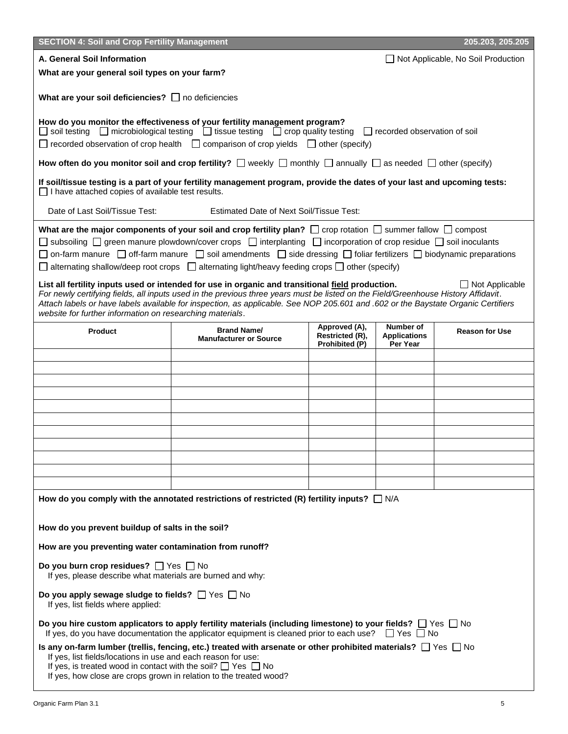| <b>SECTION 4: Soil and Crop Fertility Management</b>                                                                                                                                                                                                                                                                                                                                                                                                                                                                                                                                                                                                                                                                                                                                                                                                                                                                                                                                                                    |                                                                                                                                                                                                                                                                                                     |                                                    |                                              | 205.203, 205.205      |  |  |  |
|-------------------------------------------------------------------------------------------------------------------------------------------------------------------------------------------------------------------------------------------------------------------------------------------------------------------------------------------------------------------------------------------------------------------------------------------------------------------------------------------------------------------------------------------------------------------------------------------------------------------------------------------------------------------------------------------------------------------------------------------------------------------------------------------------------------------------------------------------------------------------------------------------------------------------------------------------------------------------------------------------------------------------|-----------------------------------------------------------------------------------------------------------------------------------------------------------------------------------------------------------------------------------------------------------------------------------------------------|----------------------------------------------------|----------------------------------------------|-----------------------|--|--|--|
| A. General Soil Information<br>□ Not Applicable, No Soil Production                                                                                                                                                                                                                                                                                                                                                                                                                                                                                                                                                                                                                                                                                                                                                                                                                                                                                                                                                     |                                                                                                                                                                                                                                                                                                     |                                                    |                                              |                       |  |  |  |
| What are your general soil types on your farm?                                                                                                                                                                                                                                                                                                                                                                                                                                                                                                                                                                                                                                                                                                                                                                                                                                                                                                                                                                          |                                                                                                                                                                                                                                                                                                     |                                                    |                                              |                       |  |  |  |
| What are your soil deficiencies? $\Box$ no deficiencies                                                                                                                                                                                                                                                                                                                                                                                                                                                                                                                                                                                                                                                                                                                                                                                                                                                                                                                                                                 |                                                                                                                                                                                                                                                                                                     |                                                    |                                              |                       |  |  |  |
|                                                                                                                                                                                                                                                                                                                                                                                                                                                                                                                                                                                                                                                                                                                                                                                                                                                                                                                                                                                                                         | How do you monitor the effectiveness of your fertility management program?<br>□ soil testing □ microbiological testing □ tissue testing □ crop quality testing □ recorded observation of soil<br>$\Box$ recorded observation of crop health $\Box$ comparison of crop yields $\Box$ other (specify) |                                                    |                                              |                       |  |  |  |
|                                                                                                                                                                                                                                                                                                                                                                                                                                                                                                                                                                                                                                                                                                                                                                                                                                                                                                                                                                                                                         | How often do you monitor soil and crop fertility? $\Box$ weekly $\Box$ monthly $\Box$ annually $\Box$ as needed $\Box$ other (specify)                                                                                                                                                              |                                                    |                                              |                       |  |  |  |
| $\Box$ I have attached copies of available test results.                                                                                                                                                                                                                                                                                                                                                                                                                                                                                                                                                                                                                                                                                                                                                                                                                                                                                                                                                                | If soil/tissue testing is a part of your fertility management program, provide the dates of your last and upcoming tests:                                                                                                                                                                           |                                                    |                                              |                       |  |  |  |
| Date of Last Soil/Tissue Test:                                                                                                                                                                                                                                                                                                                                                                                                                                                                                                                                                                                                                                                                                                                                                                                                                                                                                                                                                                                          | <b>Estimated Date of Next Soil/Tissue Test:</b>                                                                                                                                                                                                                                                     |                                                    |                                              |                       |  |  |  |
| What are the major components of your soil and crop fertility plan? $\Box$ crop rotation $\Box$ summer fallow $\Box$ compost<br>$\Box$ subsoiling $\Box$ green manure plowdown/cover crops $\Box$ interplanting $\Box$ incorporation of crop residue $\Box$ soil inoculants<br>$\Box$ on-farm manure $\Box$ off-farm manure $\Box$ soil amendments $\Box$ side dressing $\Box$ foliar fertilizers $\Box$ biodynamic preparations<br>$\Box$ alternating shallow/deep root crops $\Box$ alternating light/heavy feeding crops $\Box$ other (specify)<br>List all fertility inputs used or intended for use in organic and transitional field production.<br>$\Box$ Not Applicable<br>For newly certifying fields, all inputs used in the previous three years must be listed on the Field/Greenhouse History Affidavit.<br>Attach labels or have labels available for inspection, as applicable. See NOP 205.601 and .602 or the Baystate Organic Certifiers<br>website for further information on researching materials. |                                                                                                                                                                                                                                                                                                     |                                                    |                                              |                       |  |  |  |
| <b>Product</b>                                                                                                                                                                                                                                                                                                                                                                                                                                                                                                                                                                                                                                                                                                                                                                                                                                                                                                                                                                                                          | <b>Brand Name/</b><br><b>Manufacturer or Source</b>                                                                                                                                                                                                                                                 | Approved (A),<br>Restricted (R),<br>Prohibited (P) | Number of<br><b>Applications</b><br>Per Year | <b>Reason for Use</b> |  |  |  |
|                                                                                                                                                                                                                                                                                                                                                                                                                                                                                                                                                                                                                                                                                                                                                                                                                                                                                                                                                                                                                         |                                                                                                                                                                                                                                                                                                     |                                                    |                                              |                       |  |  |  |
|                                                                                                                                                                                                                                                                                                                                                                                                                                                                                                                                                                                                                                                                                                                                                                                                                                                                                                                                                                                                                         |                                                                                                                                                                                                                                                                                                     |                                                    |                                              |                       |  |  |  |
|                                                                                                                                                                                                                                                                                                                                                                                                                                                                                                                                                                                                                                                                                                                                                                                                                                                                                                                                                                                                                         |                                                                                                                                                                                                                                                                                                     |                                                    |                                              |                       |  |  |  |
|                                                                                                                                                                                                                                                                                                                                                                                                                                                                                                                                                                                                                                                                                                                                                                                                                                                                                                                                                                                                                         |                                                                                                                                                                                                                                                                                                     |                                                    |                                              |                       |  |  |  |
|                                                                                                                                                                                                                                                                                                                                                                                                                                                                                                                                                                                                                                                                                                                                                                                                                                                                                                                                                                                                                         |                                                                                                                                                                                                                                                                                                     |                                                    |                                              |                       |  |  |  |
|                                                                                                                                                                                                                                                                                                                                                                                                                                                                                                                                                                                                                                                                                                                                                                                                                                                                                                                                                                                                                         |                                                                                                                                                                                                                                                                                                     |                                                    |                                              |                       |  |  |  |
|                                                                                                                                                                                                                                                                                                                                                                                                                                                                                                                                                                                                                                                                                                                                                                                                                                                                                                                                                                                                                         |                                                                                                                                                                                                                                                                                                     |                                                    |                                              |                       |  |  |  |
|                                                                                                                                                                                                                                                                                                                                                                                                                                                                                                                                                                                                                                                                                                                                                                                                                                                                                                                                                                                                                         |                                                                                                                                                                                                                                                                                                     |                                                    |                                              |                       |  |  |  |
|                                                                                                                                                                                                                                                                                                                                                                                                                                                                                                                                                                                                                                                                                                                                                                                                                                                                                                                                                                                                                         |                                                                                                                                                                                                                                                                                                     |                                                    |                                              |                       |  |  |  |
|                                                                                                                                                                                                                                                                                                                                                                                                                                                                                                                                                                                                                                                                                                                                                                                                                                                                                                                                                                                                                         |                                                                                                                                                                                                                                                                                                     |                                                    |                                              |                       |  |  |  |
| How do you prevent buildup of salts in the soil?                                                                                                                                                                                                                                                                                                                                                                                                                                                                                                                                                                                                                                                                                                                                                                                                                                                                                                                                                                        | How do you comply with the annotated restrictions of restricted (R) fertility inputs? $\Box$ N/A                                                                                                                                                                                                    |                                                    |                                              |                       |  |  |  |
| How are you preventing water contamination from runoff?                                                                                                                                                                                                                                                                                                                                                                                                                                                                                                                                                                                                                                                                                                                                                                                                                                                                                                                                                                 |                                                                                                                                                                                                                                                                                                     |                                                    |                                              |                       |  |  |  |
| Do you burn crop residues? $\Box$ Yes $\Box$ No<br>If yes, please describe what materials are burned and why:                                                                                                                                                                                                                                                                                                                                                                                                                                                                                                                                                                                                                                                                                                                                                                                                                                                                                                           |                                                                                                                                                                                                                                                                                                     |                                                    |                                              |                       |  |  |  |
| Do you apply sewage sludge to fields? $\Box$ Yes $\Box$ No<br>If yes, list fields where applied:                                                                                                                                                                                                                                                                                                                                                                                                                                                                                                                                                                                                                                                                                                                                                                                                                                                                                                                        |                                                                                                                                                                                                                                                                                                     |                                                    |                                              |                       |  |  |  |
|                                                                                                                                                                                                                                                                                                                                                                                                                                                                                                                                                                                                                                                                                                                                                                                                                                                                                                                                                                                                                         | Do you hire custom applicators to apply fertility materials (including limestone) to your fields? $\Box$ Yes $\Box$ No<br>If yes, do you have documentation the applicator equipment is cleaned prior to each use?                                                                                  |                                                    | ∐ Yes │ No                                   |                       |  |  |  |
| If yes, list fields/locations in use and each reason for use:<br>If yes, is treated wood in contact with the soil? $\Box$ Yes $\Box$ No<br>If yes, how close are crops grown in relation to the treated wood?                                                                                                                                                                                                                                                                                                                                                                                                                                                                                                                                                                                                                                                                                                                                                                                                           | Is any on-farm lumber (trellis, fencing, etc.) treated with arsenate or other prohibited materials? $\Box$ Yes $\Box$ No                                                                                                                                                                            |                                                    |                                              |                       |  |  |  |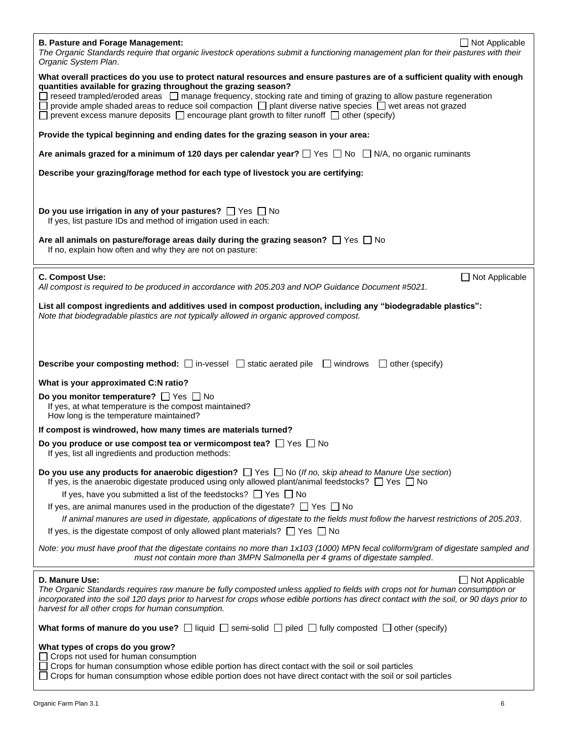| $\Box$ Not Applicable<br><b>B. Pasture and Forage Management:</b><br>The Organic Standards require that organic livestock operations submit a functioning management plan for their pastures with their<br>Organic System Plan.                                                                                                                                                                                                                                                                                                                     |
|-----------------------------------------------------------------------------------------------------------------------------------------------------------------------------------------------------------------------------------------------------------------------------------------------------------------------------------------------------------------------------------------------------------------------------------------------------------------------------------------------------------------------------------------------------|
| What overall practices do you use to protect natural resources and ensure pastures are of a sufficient quality with enough<br>quantities available for grazing throughout the grazing season?<br>reseed trampled/eroded areas □ manage frequency, stocking rate and timing of grazing to allow pasture regeneration<br>provide ample shaded areas to reduce soil compaction $\Box$ plant diverse native species $\Box$ wet areas not grazed<br>prevent excess manure deposits $\Box$ encourage plant growth to filter runoff $\Box$ other (specify) |
| Provide the typical beginning and ending dates for the grazing season in your area:                                                                                                                                                                                                                                                                                                                                                                                                                                                                 |
| Are animals grazed for a minimum of 120 days per calendar year? $\Box$ Yes $\Box$ No $\Box$ N/A, no organic ruminants                                                                                                                                                                                                                                                                                                                                                                                                                               |
| Describe your grazing/forage method for each type of livestock you are certifying:                                                                                                                                                                                                                                                                                                                                                                                                                                                                  |
| Do you use irrigation in any of your pastures? $\Box$ Yes $\Box$ No<br>If yes, list pasture IDs and method of irrigation used in each:                                                                                                                                                                                                                                                                                                                                                                                                              |
| Are all animals on pasture/forage areas daily during the grazing season? $\Box$ Yes $\Box$ No<br>If no, explain how often and why they are not on pasture:                                                                                                                                                                                                                                                                                                                                                                                          |
| C. Compost Use:<br>Not Applicable<br>All compost is required to be produced in accordance with 205.203 and NOP Guidance Document #5021.                                                                                                                                                                                                                                                                                                                                                                                                             |
| List all compost ingredients and additives used in compost production, including any "biodegradable plastics":<br>Note that biodegradable plastics are not typically allowed in organic approved compost.                                                                                                                                                                                                                                                                                                                                           |
|                                                                                                                                                                                                                                                                                                                                                                                                                                                                                                                                                     |
| <b>Describe your composting method:</b> $\Box$ in-vessel $\Box$ static aerated pile $\Box$ windrows $\Box$ other (specify)                                                                                                                                                                                                                                                                                                                                                                                                                          |
| What is your approximated C:N ratio?                                                                                                                                                                                                                                                                                                                                                                                                                                                                                                                |
| Do you monitor temperature? $\Box$ Yes $\Box$ No<br>If yes, at what temperature is the compost maintained?<br>How long is the temperature maintained?                                                                                                                                                                                                                                                                                                                                                                                               |
| If compost is windrowed, how many times are materials turned?                                                                                                                                                                                                                                                                                                                                                                                                                                                                                       |
| Do you produce or use compost tea or vermicompost tea? $\Box$ Yes $\Box$ No<br>If yes, list all ingredients and production methods:                                                                                                                                                                                                                                                                                                                                                                                                                 |
| Do you use any products for anaerobic digestion? $\Box$ Yes $\Box$ No (If no, skip ahead to Manure Use section)<br>If yes, is the anaerobic digestate produced using only allowed plant/animal feedstocks? $\Box$ Yes $\Box$ No                                                                                                                                                                                                                                                                                                                     |
| If yes, have you submitted a list of the feedstocks? $\Box$ Yes $\Box$ No                                                                                                                                                                                                                                                                                                                                                                                                                                                                           |
| If yes, are animal manures used in the production of the digestate? $\Box$ Yes $\Box$ No<br>If animal manures are used in digestate, applications of digestate to the fields must follow the harvest restrictions of 205.203.                                                                                                                                                                                                                                                                                                                       |
| If yes, is the digestate compost of only allowed plant materials? $\Box$ Yes $\Box$ No                                                                                                                                                                                                                                                                                                                                                                                                                                                              |
| Note: you must have proof that the digestate contains no more than 1x103 (1000) MPN fecal coliform/gram of digestate sampled and<br>must not contain more than 3MPN Salmonella per 4 grams of digestate sampled.                                                                                                                                                                                                                                                                                                                                    |
| D. Manure Use:<br>$\Box$ Not Applicable<br>The Organic Standards requires raw manure be fully composted unless applied to fields with crops not for human consumption or<br>incorporated into the soil 120 days prior to harvest for crops whose edible portions has direct contact with the soil, or 90 days prior to<br>harvest for all other crops for human consumption.                                                                                                                                                                        |
| What forms of manure do you use? $\Box$ liquid $\Box$ semi-solid $\Box$ piled $\Box$ fully composted $\Box$ other (specify)                                                                                                                                                                                                                                                                                                                                                                                                                         |
| What types of crops do you grow?                                                                                                                                                                                                                                                                                                                                                                                                                                                                                                                    |
| Crops not used for human consumption<br>Crops for human consumption whose edible portion has direct contact with the soil or soil particles<br>Crops for human consumption whose edible portion does not have direct contact with the soil or soil particles                                                                                                                                                                                                                                                                                        |

 $\overline{\phantom{a}}$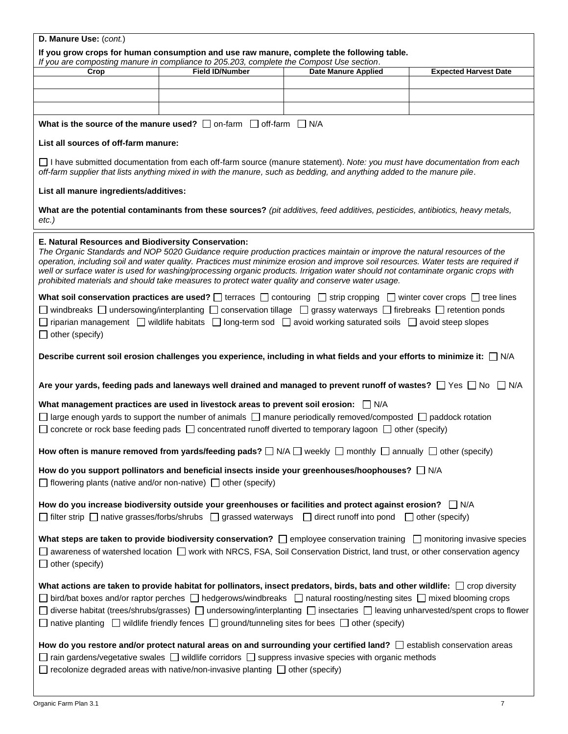| D. Manure Use: (cont.)                                                                                                                                                                                                                                                                                                                                                                                                                                                                                                                    |                                                                                                                                                                                                                                                                                                                                                                                                                                                                                                            |                            |                              |  |  |  |  |  |
|-------------------------------------------------------------------------------------------------------------------------------------------------------------------------------------------------------------------------------------------------------------------------------------------------------------------------------------------------------------------------------------------------------------------------------------------------------------------------------------------------------------------------------------------|------------------------------------------------------------------------------------------------------------------------------------------------------------------------------------------------------------------------------------------------------------------------------------------------------------------------------------------------------------------------------------------------------------------------------------------------------------------------------------------------------------|----------------------------|------------------------------|--|--|--|--|--|
|                                                                                                                                                                                                                                                                                                                                                                                                                                                                                                                                           | If you grow crops for human consumption and use raw manure, complete the following table.                                                                                                                                                                                                                                                                                                                                                                                                                  |                            |                              |  |  |  |  |  |
| Crop                                                                                                                                                                                                                                                                                                                                                                                                                                                                                                                                      | If you are composting manure in compliance to 205.203, complete the Compost Use section.<br><b>Field ID/Number</b>                                                                                                                                                                                                                                                                                                                                                                                         | <b>Date Manure Applied</b> | <b>Expected Harvest Date</b> |  |  |  |  |  |
|                                                                                                                                                                                                                                                                                                                                                                                                                                                                                                                                           |                                                                                                                                                                                                                                                                                                                                                                                                                                                                                                            |                            |                              |  |  |  |  |  |
|                                                                                                                                                                                                                                                                                                                                                                                                                                                                                                                                           |                                                                                                                                                                                                                                                                                                                                                                                                                                                                                                            |                            |                              |  |  |  |  |  |
|                                                                                                                                                                                                                                                                                                                                                                                                                                                                                                                                           |                                                                                                                                                                                                                                                                                                                                                                                                                                                                                                            |                            |                              |  |  |  |  |  |
|                                                                                                                                                                                                                                                                                                                                                                                                                                                                                                                                           | What is the source of the manure used? $\Box$ on-farm $\Box$ off-farm $\Box$ N/A                                                                                                                                                                                                                                                                                                                                                                                                                           |                            |                              |  |  |  |  |  |
| List all sources of off-farm manure:                                                                                                                                                                                                                                                                                                                                                                                                                                                                                                      |                                                                                                                                                                                                                                                                                                                                                                                                                                                                                                            |                            |                              |  |  |  |  |  |
| □ I have submitted documentation from each off-farm source (manure statement). Note: you must have documentation from each<br>off-farm supplier that lists anything mixed in with the manure, such as bedding, and anything added to the manure pile.                                                                                                                                                                                                                                                                                     |                                                                                                                                                                                                                                                                                                                                                                                                                                                                                                            |                            |                              |  |  |  |  |  |
| List all manure ingredients/additives:                                                                                                                                                                                                                                                                                                                                                                                                                                                                                                    |                                                                                                                                                                                                                                                                                                                                                                                                                                                                                                            |                            |                              |  |  |  |  |  |
| $etc.$ )                                                                                                                                                                                                                                                                                                                                                                                                                                                                                                                                  | What are the potential contaminants from these sources? (pit additives, feed additives, pesticides, antibiotics, heavy metals,                                                                                                                                                                                                                                                                                                                                                                             |                            |                              |  |  |  |  |  |
| E. Natural Resources and Biodiversity Conservation:                                                                                                                                                                                                                                                                                                                                                                                                                                                                                       | The Organic Standards and NOP 5020 Guidance require production practices maintain or improve the natural resources of the<br>operation, including soil and water quality. Practices must minimize erosion and improve soil resources. Water tests are required if<br>well or surface water is used for washing/processing organic products. Irrigation water should not contaminate organic crops with<br>prohibited materials and should take measures to protect water quality and conserve water usage. |                            |                              |  |  |  |  |  |
|                                                                                                                                                                                                                                                                                                                                                                                                                                                                                                                                           | What soil conservation practices are used? $\Box$ terraces $\Box$ contouring $\Box$ strip cropping $\Box$ winter cover crops $\Box$ tree lines                                                                                                                                                                                                                                                                                                                                                             |                            |                              |  |  |  |  |  |
|                                                                                                                                                                                                                                                                                                                                                                                                                                                                                                                                           | $□$ windbreaks $□$ undersowing/interplanting $□$ conservation tillage $□$ grassy waterways $□$ firebreaks $□$ retention ponds                                                                                                                                                                                                                                                                                                                                                                              |                            |                              |  |  |  |  |  |
| $\Box$ other (specify)                                                                                                                                                                                                                                                                                                                                                                                                                                                                                                                    | $□$ riparian management $□$ wildlife habitats $□$ long-term sod $□$ avoid working saturated soils $□$ avoid steep slopes                                                                                                                                                                                                                                                                                                                                                                                   |                            |                              |  |  |  |  |  |
|                                                                                                                                                                                                                                                                                                                                                                                                                                                                                                                                           | Describe current soil erosion challenges you experience, including in what fields and your efforts to minimize it: □ N/A                                                                                                                                                                                                                                                                                                                                                                                   |                            |                              |  |  |  |  |  |
|                                                                                                                                                                                                                                                                                                                                                                                                                                                                                                                                           | Are your yards, feeding pads and laneways well drained and managed to prevent runoff of wastes? $\Box$ Yes $\Box$ No $\Box$ N/A                                                                                                                                                                                                                                                                                                                                                                            |                            |                              |  |  |  |  |  |
|                                                                                                                                                                                                                                                                                                                                                                                                                                                                                                                                           | What management practices are used in livestock areas to prevent soil erosion: $\Box$ N/A<br>$\Box$ large enough yards to support the number of animals $\Box$ manure periodically removed/composted $\Box$ paddock rotation<br>$\Box$ concrete or rock base feeding pads $\Box$ concentrated runoff diverted to temporary lagoon $\Box$ other (specify)                                                                                                                                                   |                            |                              |  |  |  |  |  |
|                                                                                                                                                                                                                                                                                                                                                                                                                                                                                                                                           | How often is manure removed from yards/feeding pads? $\Box$ N/A $\Box$ weekly $\Box$ monthly $\Box$ annually $\Box$ other (specify)                                                                                                                                                                                                                                                                                                                                                                        |                            |                              |  |  |  |  |  |
| $\Box$ flowering plants (native and/or non-native) $\Box$ other (specify)                                                                                                                                                                                                                                                                                                                                                                                                                                                                 | How do you support pollinators and beneficial insects inside your greenhouses/hoophouses? $\Box$ N/A                                                                                                                                                                                                                                                                                                                                                                                                       |                            |                              |  |  |  |  |  |
|                                                                                                                                                                                                                                                                                                                                                                                                                                                                                                                                           | How do you increase biodiversity outside your greenhouses or facilities and protect against erosion? $\Box$ N/A<br>$□$ filter strip $□$ native grasses/forbs/shrubs $□$ grassed waterways $□$ direct runoff into pond $□$ other (specify)                                                                                                                                                                                                                                                                  |                            |                              |  |  |  |  |  |
| What steps are taken to provide biodiversity conservation? $\Box$ employee conservation training $\Box$ monitoring invasive species<br>$\Box$ awareness of watershed location $\Box$ work with NRCS, FSA, Soil Conservation District, land trust, or other conservation agency<br>$\Box$ other (specify)                                                                                                                                                                                                                                  |                                                                                                                                                                                                                                                                                                                                                                                                                                                                                                            |                            |                              |  |  |  |  |  |
| What actions are taken to provide habitat for pollinators, insect predators, birds, bats and other wildlife: $\Box$ crop diversity<br>$\Box$ bird/bat boxes and/or raptor perches $\Box$ hedgerows/windbreaks $\Box$ natural roosting/nesting sites $\Box$ mixed blooming crops<br>□ diverse habitat (trees/shrubs/grasses) □ undersowing/interplanting □ insectaries □ leaving unharvested/spent crops to flower<br>$\Box$ native planting $\Box$ wildlife friendly fences $\Box$ ground/tunneling sites for bees $\Box$ other (specify) |                                                                                                                                                                                                                                                                                                                                                                                                                                                                                                            |                            |                              |  |  |  |  |  |
|                                                                                                                                                                                                                                                                                                                                                                                                                                                                                                                                           | How do you restore and/or protect natural areas on and surrounding your certified land?<br><br>$\Box$ establish conservation areas<br>$\Box$ rain gardens/vegetative swales $\Box$ wildlife corridors $\Box$ suppress invasive species with organic methods<br>$\Box$ recolonize degraded areas with native/non-invasive planting $\Box$ other (specify)                                                                                                                                                   |                            |                              |  |  |  |  |  |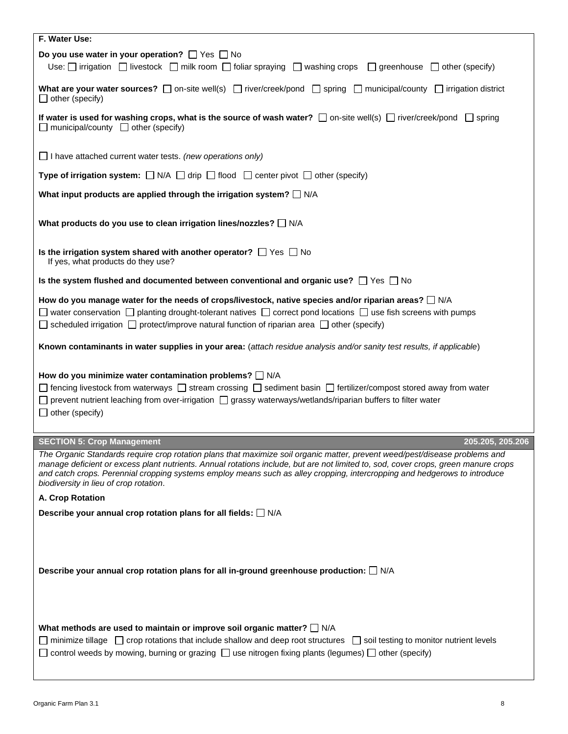| F. Water Use:                                                                                                                                                                                                                                                                                                                                                                                                                            |
|------------------------------------------------------------------------------------------------------------------------------------------------------------------------------------------------------------------------------------------------------------------------------------------------------------------------------------------------------------------------------------------------------------------------------------------|
| Do you use water in your operation? $\Box$ Yes $\Box$ No<br>Use: $\Box$ irrigation $\Box$ livestock $\Box$ milk room $\Box$ foliar spraying $\Box$ washing crops $\Box$ greenhouse $\Box$ other (specify)                                                                                                                                                                                                                                |
| What are your water sources? $\Box$ on-site well(s) $\Box$ river/creek/pond $\Box$ spring $\Box$ municipal/county $\Box$ irrigation district<br>$\Box$ other (specify)                                                                                                                                                                                                                                                                   |
| If water is used for washing crops, what is the source of wash water? $\Box$ on-site well(s) $\Box$ river/creek/pond $\Box$ spring<br>$\Box$ municipal/county $\Box$ other (specify)                                                                                                                                                                                                                                                     |
| $\Box$ I have attached current water tests. (new operations only)                                                                                                                                                                                                                                                                                                                                                                        |
| Type of irrigation system: $\Box$ N/A $\Box$ drip $\Box$ flood $\Box$ center pivot $\Box$ other (specify)                                                                                                                                                                                                                                                                                                                                |
| What input products are applied through the irrigation system? $\Box$ N/A                                                                                                                                                                                                                                                                                                                                                                |
| What products do you use to clean irrigation lines/nozzles? $\Box$ N/A                                                                                                                                                                                                                                                                                                                                                                   |
| Is the irrigation system shared with another operator? $\Box$ Yes $\Box$ No<br>If yes, what products do they use?                                                                                                                                                                                                                                                                                                                        |
| Is the system flushed and documented between conventional and organic use? $\Box$ Yes $\Box$ No                                                                                                                                                                                                                                                                                                                                          |
| How do you manage water for the needs of crops/livestock, native species and/or riparian areas? $\Box$ N/A<br>$\Box$ water conservation $\Box$ planting drought-tolerant natives $\Box$ correct pond locations $\Box$ use fish screens with pumps<br>$\Box$ scheduled irrigation $\Box$ protect/improve natural function of riparian area $\Box$ other (specify)                                                                         |
| Known contaminants in water supplies in your area: (attach residue analysis and/or sanity test results, if applicable)                                                                                                                                                                                                                                                                                                                   |
| How do you minimize water contamination problems? $\Box$ N/A<br>$\Box$ fencing livestock from waterways $\Box$ stream crossing $\Box$ sediment basin $\Box$ fertilizer/compost stored away from water<br>prevent nutrient leaching from over-irrigation [ grassy waterways/wetlands/riparian buffers to filter water<br>$\Box$ other (specify)                                                                                           |
| <b>SECTION 5: Crop Management</b><br>205.205, 205.206                                                                                                                                                                                                                                                                                                                                                                                    |
| The Organic Standards require crop rotation plans that maximize soil organic matter, prevent weed/pest/disease problems and<br>manage deficient or excess plant nutrients. Annual rotations include, but are not limited to, sod, cover crops, green manure crops<br>and catch crops. Perennial cropping systems employ means such as alley cropping, intercropping and hedgerows to introduce<br>biodiversity in lieu of crop rotation. |
| A. Crop Rotation                                                                                                                                                                                                                                                                                                                                                                                                                         |
| Describe your annual crop rotation plans for all fields: $\Box$ N/A                                                                                                                                                                                                                                                                                                                                                                      |
| Describe your annual crop rotation plans for all in-ground greenhouse production: $\Box$ N/A                                                                                                                                                                                                                                                                                                                                             |
| What methods are used to maintain or improve soil organic matter? $\square$ N/A<br>minimize tillage $\Box$ crop rotations that include shallow and deep root structures $\Box$ soil testing to monitor nutrient levels<br>$\Box$ control weeds by mowing, burning or grazing $\Box$ use nitrogen fixing plants (legumes) $\Box$ other (specify)                                                                                          |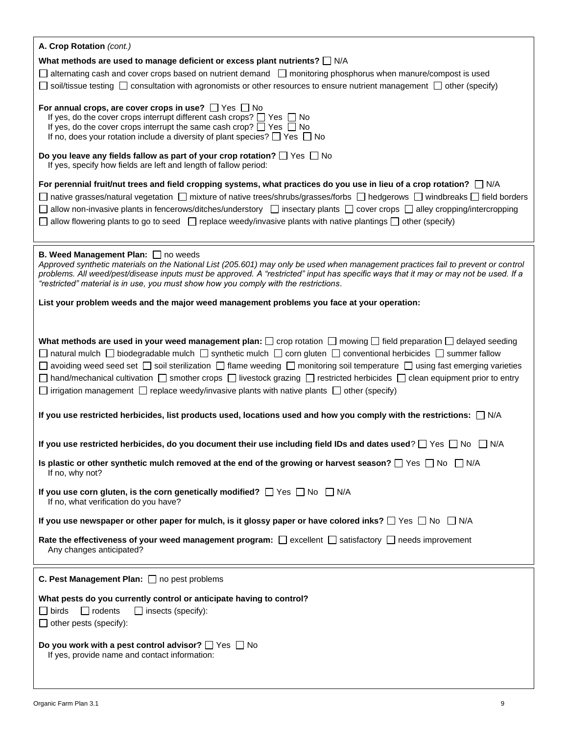| A. Crop Rotation (cont.)                                                                                                                                                                                                                                                                                                                                                                                                                                                                                                                                                                                                                                          |
|-------------------------------------------------------------------------------------------------------------------------------------------------------------------------------------------------------------------------------------------------------------------------------------------------------------------------------------------------------------------------------------------------------------------------------------------------------------------------------------------------------------------------------------------------------------------------------------------------------------------------------------------------------------------|
| What methods are used to manage deficient or excess plant nutrients? $\square$ N/A                                                                                                                                                                                                                                                                                                                                                                                                                                                                                                                                                                                |
| $\Box$ alternating cash and cover crops based on nutrient demand $\Box$ monitoring phosphorus when manure/compost is used                                                                                                                                                                                                                                                                                                                                                                                                                                                                                                                                         |
| soil/tissue testing $\Box$ consultation with agronomists or other resources to ensure nutrient management $\Box$ other (specify)                                                                                                                                                                                                                                                                                                                                                                                                                                                                                                                                  |
| For annual crops, are cover crops in use? $\Box$ Yes $\Box$ No<br>If yes, do the cover crops interrupt different cash crops? $\Box$ Yes $\Box$ No<br>If yes, do the cover crops interrupt the same cash crop? $\Box$ Yes $\Box$ No<br>If no, does your rotation include a diversity of plant species? $\Box$ Yes $\Box$ No                                                                                                                                                                                                                                                                                                                                        |
| Do you leave any fields fallow as part of your crop rotation? $\Box$ Yes $\Box$ No<br>If yes, specify how fields are left and length of fallow period:                                                                                                                                                                                                                                                                                                                                                                                                                                                                                                            |
| For perennial fruit/nut trees and field cropping systems, what practices do you use in lieu of a crop rotation? $\Box$ N/A                                                                                                                                                                                                                                                                                                                                                                                                                                                                                                                                        |
| $□$ native grasses/natural vegetation $□$ mixture of native trees/shrubs/grasses/forbs $□$ hedgerows $□$ windbreaks $□$ field borders                                                                                                                                                                                                                                                                                                                                                                                                                                                                                                                             |
| allow non-invasive plants in fencerows/ditches/understory $\Box$ insectary plants $\Box$ cover crops $\Box$ alley cropping/intercropping                                                                                                                                                                                                                                                                                                                                                                                                                                                                                                                          |
| allow flowering plants to go to seed $\Box$ replace weedy/invasive plants with native plantings $\Box$ other (specify)                                                                                                                                                                                                                                                                                                                                                                                                                                                                                                                                            |
|                                                                                                                                                                                                                                                                                                                                                                                                                                                                                                                                                                                                                                                                   |
| B. Weed Management Plan: no weeds<br>Approved synthetic materials on the National List (205.601) may only be used when management practices fail to prevent or control<br>problems. All weed/pest/disease inputs must be approved. A "restricted" input has specific ways that it may or may not be used. If a<br>"restricted" material is in use, you must show how you comply with the restrictions.                                                                                                                                                                                                                                                            |
| List your problem weeds and the major weed management problems you face at your operation:                                                                                                                                                                                                                                                                                                                                                                                                                                                                                                                                                                        |
| What methods are used in your weed management plan: $\square$ crop rotation $\square$ mowing $\square$ field preparation $\square$ delayed seeding<br>natural mulch $\Box$ biodegradable mulch $\Box$ synthetic mulch $\Box$ corn gluten $\Box$ conventional herbicides $\Box$ summer fallow<br>□ avoiding weed seed set □ soil sterilization □ flame weeding □ monitoring soil temperature □ using fast emerging varieties<br>□ hand/mechanical cultivation □ smother crops □ livestock grazing □ restricted herbicides □ clean equipment prior to entry<br>irrigation management $\Box$ replace weedy/invasive plants with native plants $\Box$ other (specify) |
| If you use restricted herbicides, list products used, locations used and how you comply with the restrictions: $\Box$ N/A                                                                                                                                                                                                                                                                                                                                                                                                                                                                                                                                         |
| If you use restricted herbicides, do you document their use including field IDs and dates used? $\Box$ Yes $\Box$ No $\Box$ N/A                                                                                                                                                                                                                                                                                                                                                                                                                                                                                                                                   |
| Is plastic or other synthetic mulch removed at the end of the growing or harvest season? $\square$ Yes $\square$ No $\square$ N/A<br>If no, why not?                                                                                                                                                                                                                                                                                                                                                                                                                                                                                                              |
| If you use corn gluten, is the corn genetically modified? $\Box$ Yes $\Box$ No $\Box$ N/A<br>If no, what verification do you have?                                                                                                                                                                                                                                                                                                                                                                                                                                                                                                                                |
| If you use newspaper or other paper for mulch, is it glossy paper or have colored inks? $\Box$ Yes $\Box$ No $\Box$ N/A                                                                                                                                                                                                                                                                                                                                                                                                                                                                                                                                           |
| Rate the effectiveness of your weed management program: $\Box$ excellent $\Box$ satisfactory $\Box$ needs improvement<br>Any changes anticipated?                                                                                                                                                                                                                                                                                                                                                                                                                                                                                                                 |
| C. Pest Management Plan: no pest problems                                                                                                                                                                                                                                                                                                                                                                                                                                                                                                                                                                                                                         |
| What pests do you currently control or anticipate having to control?<br>$\square$ birds<br>$\Box$ rodents<br>$\Box$ insects (specify):                                                                                                                                                                                                                                                                                                                                                                                                                                                                                                                            |
| $\Box$ other pests (specify):                                                                                                                                                                                                                                                                                                                                                                                                                                                                                                                                                                                                                                     |
| Do you work with a pest control advisor? $\Box$ Yes $\Box$ No<br>If yes, provide name and contact information:                                                                                                                                                                                                                                                                                                                                                                                                                                                                                                                                                    |
|                                                                                                                                                                                                                                                                                                                                                                                                                                                                                                                                                                                                                                                                   |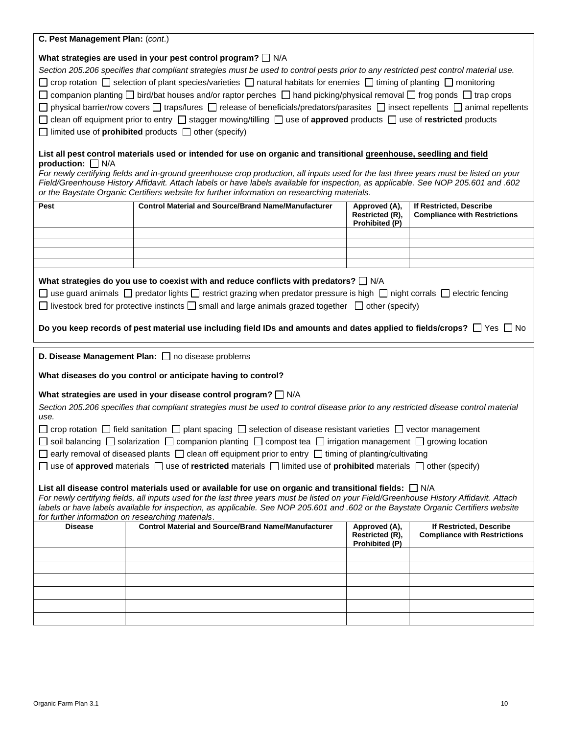| C. Pest Management Plan: (cont.)                                                                                                                                                                                                                                                                                                                                                                                                                                                                                                                                                                                                                                                                                                                                                                                                                                                                                                                                         |                                                                                                                                                                                                                                                                                                                                                                             |                                                    |                                                                |  |  |  |
|--------------------------------------------------------------------------------------------------------------------------------------------------------------------------------------------------------------------------------------------------------------------------------------------------------------------------------------------------------------------------------------------------------------------------------------------------------------------------------------------------------------------------------------------------------------------------------------------------------------------------------------------------------------------------------------------------------------------------------------------------------------------------------------------------------------------------------------------------------------------------------------------------------------------------------------------------------------------------|-----------------------------------------------------------------------------------------------------------------------------------------------------------------------------------------------------------------------------------------------------------------------------------------------------------------------------------------------------------------------------|----------------------------------------------------|----------------------------------------------------------------|--|--|--|
| What strategies are used in your pest control program? N/A<br>Section 205.206 specifies that compliant strategies must be used to control pests prior to any restricted pest control material use.<br>□ crop rotation □ selection of plant species/varieties □ natural habitats for enemies □ timing of planting □ monitoring<br>$\Box$ companion planting $\Box$ bird/bat houses and/or raptor perches $\Box$ hand picking/physical removal $\Box$ frog ponds $\Box$ trap crops<br>$\Box$ physical barrier/row covers $\Box$ traps/lures $\Box$ release of beneficials/predators/parasites $\Box$ insect repellents $\Box$ animal repellents<br>□ clean off equipment prior to entry □ stagger mowing/tilling □ use of approved products □ use of restricted products<br>$\Box$ limited use of <b>prohibited</b> products $\Box$ other (specify)<br>List all pest control materials used or intended for use on organic and transitional greenhouse, seedling and field |                                                                                                                                                                                                                                                                                                                                                                             |                                                    |                                                                |  |  |  |
| production: $\Box$ N/A                                                                                                                                                                                                                                                                                                                                                                                                                                                                                                                                                                                                                                                                                                                                                                                                                                                                                                                                                   | For newly certifying fields and in-ground greenhouse crop production, all inputs used for the last three years must be listed on your<br>Field/Greenhouse History Affidavit. Attach labels or have labels available for inspection, as applicable. See NOP 205.601 and .602<br>or the Baystate Organic Certifiers website for further information on researching materials. |                                                    |                                                                |  |  |  |
| Pest                                                                                                                                                                                                                                                                                                                                                                                                                                                                                                                                                                                                                                                                                                                                                                                                                                                                                                                                                                     | <b>Control Material and Source/Brand Name/Manufacturer</b>                                                                                                                                                                                                                                                                                                                  | Approved (A),<br>Restricted (R),<br>Prohibited (P) | If Restricted, Describe<br><b>Compliance with Restrictions</b> |  |  |  |
|                                                                                                                                                                                                                                                                                                                                                                                                                                                                                                                                                                                                                                                                                                                                                                                                                                                                                                                                                                          |                                                                                                                                                                                                                                                                                                                                                                             |                                                    |                                                                |  |  |  |
|                                                                                                                                                                                                                                                                                                                                                                                                                                                                                                                                                                                                                                                                                                                                                                                                                                                                                                                                                                          |                                                                                                                                                                                                                                                                                                                                                                             |                                                    |                                                                |  |  |  |
|                                                                                                                                                                                                                                                                                                                                                                                                                                                                                                                                                                                                                                                                                                                                                                                                                                                                                                                                                                          |                                                                                                                                                                                                                                                                                                                                                                             |                                                    |                                                                |  |  |  |
| What strategies do you use to coexist with and reduce conflicts with predators? □ N/A<br>□ use guard animals □ predator lights □ restrict grazing when predator pressure is high □ night corrals □ electric fencing<br>$\Box$ livestock bred for protective instincts $\Box$ small and large animals grazed together $\Box$ other (specify)<br>Do you keep records of pest material use including field IDs and amounts and dates applied to fields/crops? $\Box$ Yes $\Box$ No                                                                                                                                                                                                                                                                                                                                                                                                                                                                                          |                                                                                                                                                                                                                                                                                                                                                                             |                                                    |                                                                |  |  |  |
| D. Disease Management Plan: no disease problems<br>What diseases do you control or anticipate having to control?                                                                                                                                                                                                                                                                                                                                                                                                                                                                                                                                                                                                                                                                                                                                                                                                                                                         |                                                                                                                                                                                                                                                                                                                                                                             |                                                    |                                                                |  |  |  |
| What strategies are used in your disease control program? $\Box$ N/A<br>Section 205.206 specifies that compliant strategies must be used to control disease prior to any restricted disease control material<br>use.<br>$\Box$ crop rotation $\Box$ field sanitation $\Box$ plant spacing $\Box$ selection of disease resistant varieties $\Box$ vector management<br>□ soil balancing □ solarization □ companion planting □ compost tea □ irrigation management □ growing location                                                                                                                                                                                                                                                                                                                                                                                                                                                                                      |                                                                                                                                                                                                                                                                                                                                                                             |                                                    |                                                                |  |  |  |
|                                                                                                                                                                                                                                                                                                                                                                                                                                                                                                                                                                                                                                                                                                                                                                                                                                                                                                                                                                          | $\Box$ early removal of diseased plants $\Box$ clean off equipment prior to entry $\Box$ timing of planting/cultivating<br>$\Box$ use of approved materials $\Box$ use of restricted materials $\Box$ limited use of prohibited materials $\Box$ other (specify)                                                                                                            |                                                    |                                                                |  |  |  |
| List all disease control materials used or available for use on organic and transitional fields: $\Box$ N/A<br>For newly certifying fields, all inputs used for the last three years must be listed on your Field/Greenhouse History Affidavit. Attach<br>labels or have labels available for inspection, as applicable. See NOP 205.601 and .602 or the Baystate Organic Certifiers website<br>for further information on researching materials.                                                                                                                                                                                                                                                                                                                                                                                                                                                                                                                        |                                                                                                                                                                                                                                                                                                                                                                             |                                                    |                                                                |  |  |  |
| <b>Disease</b>                                                                                                                                                                                                                                                                                                                                                                                                                                                                                                                                                                                                                                                                                                                                                                                                                                                                                                                                                           | <b>Control Material and Source/Brand Name/Manufacturer</b>                                                                                                                                                                                                                                                                                                                  | Approved (A),<br>Restricted (R),<br>Prohibited (P) | If Restricted, Describe<br><b>Compliance with Restrictions</b> |  |  |  |
|                                                                                                                                                                                                                                                                                                                                                                                                                                                                                                                                                                                                                                                                                                                                                                                                                                                                                                                                                                          |                                                                                                                                                                                                                                                                                                                                                                             |                                                    |                                                                |  |  |  |
|                                                                                                                                                                                                                                                                                                                                                                                                                                                                                                                                                                                                                                                                                                                                                                                                                                                                                                                                                                          |                                                                                                                                                                                                                                                                                                                                                                             |                                                    |                                                                |  |  |  |
|                                                                                                                                                                                                                                                                                                                                                                                                                                                                                                                                                                                                                                                                                                                                                                                                                                                                                                                                                                          |                                                                                                                                                                                                                                                                                                                                                                             |                                                    |                                                                |  |  |  |
|                                                                                                                                                                                                                                                                                                                                                                                                                                                                                                                                                                                                                                                                                                                                                                                                                                                                                                                                                                          |                                                                                                                                                                                                                                                                                                                                                                             |                                                    |                                                                |  |  |  |
|                                                                                                                                                                                                                                                                                                                                                                                                                                                                                                                                                                                                                                                                                                                                                                                                                                                                                                                                                                          |                                                                                                                                                                                                                                                                                                                                                                             |                                                    |                                                                |  |  |  |
|                                                                                                                                                                                                                                                                                                                                                                                                                                                                                                                                                                                                                                                                                                                                                                                                                                                                                                                                                                          |                                                                                                                                                                                                                                                                                                                                                                             |                                                    |                                                                |  |  |  |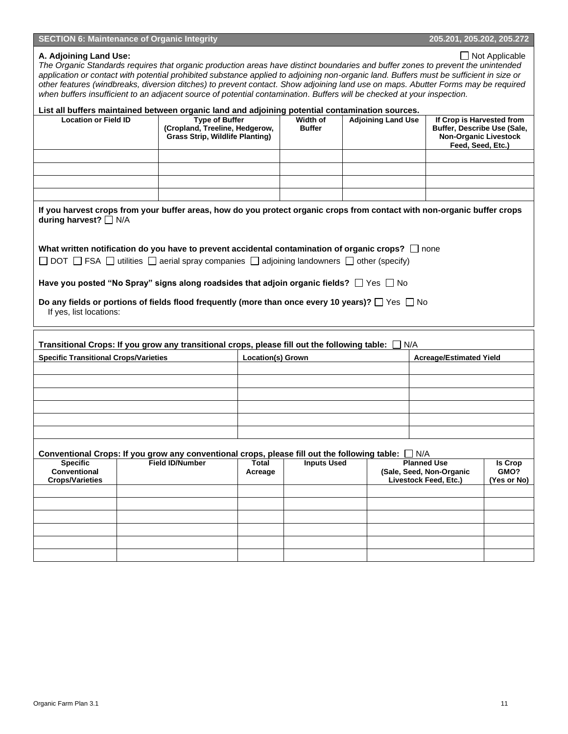#### **SECTION 6: Maintenance of Organic Integrity 205.201, 205.201, 205.202, 205.272**

#### **A. Adjoining Land Use:**  $\Box$  Not Applicable

*The Organic Standards requires that organic production areas have distinct boundaries and buffer zones to prevent the unintended application or contact with potential prohibited substance applied to adjoining non-organic land. Buffers must be sufficient in size or other features (windbreaks, diversion ditches) to prevent contact. Show adjoining land use on maps. Abutter Forms may be required when buffers insufficient to an adjacent source of potential contamination. Buffers will be checked at your inspection.*

### **List all buffers maintained between organic land and adjoining potential contamination sources. Location or Field ID Type of Buffer (Cropland, Treeline, Hedgerow, Grass Strip, Wildlife Planting) Width of Buffer Adjoining Land Use If Crop is Harvested from Buffer, Describe Use (Sale, Non-Organic Livestock Feed, Seed, Etc.) If you harvest crops from your buffer areas, how do you protect organic crops from contact with non-organic buffer crops during harvest?** □ N/A What written notification do you have to prevent accidental contamination of organic crops?  $\Box$  none  $\Box$  DOT  $\Box$  FSA  $\Box$  utilities  $\Box$  aerial spray companies  $\Box$  adjoining landowners  $\Box$  other (specify)

**Have you posted "No Spray" signs along roadsides that adjoin organic fields?**  $\Box$  Yes  $\Box$  No

#### **Do any fields or portions of fields flood frequently (more than once every 10 years)?**  $\Box$  Yes  $\Box$  No If yes, list locations:

|                                                           | Transitional Crops: If you grow any transitional crops, please fill out the following table:                                      |                  |                          | N/A |                                                                         |                                       |  |
|-----------------------------------------------------------|-----------------------------------------------------------------------------------------------------------------------------------|------------------|--------------------------|-----|-------------------------------------------------------------------------|---------------------------------------|--|
| <b>Specific Transitional Crops/Varieties</b>              |                                                                                                                                   |                  | <b>Location(s) Grown</b> |     |                                                                         | <b>Acreage/Estimated Yield</b>        |  |
|                                                           |                                                                                                                                   |                  |                          |     |                                                                         |                                       |  |
|                                                           |                                                                                                                                   |                  |                          |     |                                                                         |                                       |  |
|                                                           |                                                                                                                                   |                  |                          |     |                                                                         |                                       |  |
|                                                           |                                                                                                                                   |                  |                          |     |                                                                         |                                       |  |
|                                                           |                                                                                                                                   |                  |                          |     |                                                                         |                                       |  |
|                                                           |                                                                                                                                   |                  |                          |     |                                                                         |                                       |  |
| <b>Specific</b><br>Conventional<br><b>Crops/Varieties</b> | Conventional Crops: If you grow any conventional crops, please fill out the following table: $\Box$ N/A<br><b>Field ID/Number</b> | Total<br>Acreage | <b>Inputs Used</b>       |     | <b>Planned Use</b><br>(Sale, Seed, Non-Organic<br>Livestock Feed, Etc.) | <b>Is Crop</b><br>GMO?<br>(Yes or No) |  |
|                                                           |                                                                                                                                   |                  |                          |     |                                                                         |                                       |  |
|                                                           |                                                                                                                                   |                  |                          |     |                                                                         |                                       |  |
|                                                           |                                                                                                                                   |                  |                          |     |                                                                         |                                       |  |
|                                                           |                                                                                                                                   |                  |                          |     |                                                                         |                                       |  |
|                                                           |                                                                                                                                   |                  |                          |     |                                                                         |                                       |  |
|                                                           |                                                                                                                                   |                  |                          |     |                                                                         |                                       |  |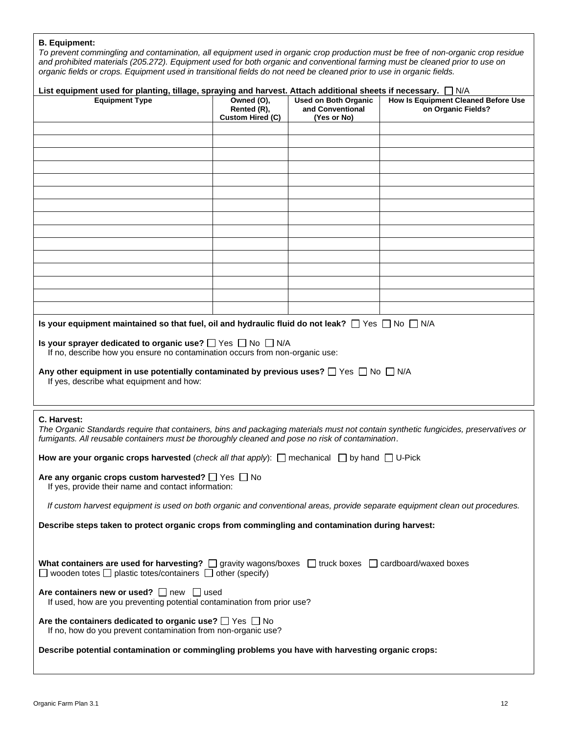## **B. Equipment:**

*To prevent commingling and contamination, all equipment used in organic crop production must be free of non-organic crop residue and prohibited materials (205.272). Equipment used for both organic and conventional farming must be cleaned prior to use on organic fields or crops. Equipment used in transitional fields do not need be cleaned prior to use in organic fields.*

| List equipment used for planting, tillage, spraying and harvest. Attach additional sheets if necessary. $\Box$ N/A                                                                                                                                     |                                                      |                                                                |                                                                  |  |  |  |
|--------------------------------------------------------------------------------------------------------------------------------------------------------------------------------------------------------------------------------------------------------|------------------------------------------------------|----------------------------------------------------------------|------------------------------------------------------------------|--|--|--|
| <b>Equipment Type</b>                                                                                                                                                                                                                                  | Owned (O),<br>Rented (R),<br><b>Custom Hired (C)</b> | <b>Used on Both Organic</b><br>and Conventional<br>(Yes or No) | <b>How Is Equipment Cleaned Before Use</b><br>on Organic Fields? |  |  |  |
|                                                                                                                                                                                                                                                        |                                                      |                                                                |                                                                  |  |  |  |
|                                                                                                                                                                                                                                                        |                                                      |                                                                |                                                                  |  |  |  |
|                                                                                                                                                                                                                                                        |                                                      |                                                                |                                                                  |  |  |  |
|                                                                                                                                                                                                                                                        |                                                      |                                                                |                                                                  |  |  |  |
|                                                                                                                                                                                                                                                        |                                                      |                                                                |                                                                  |  |  |  |
|                                                                                                                                                                                                                                                        |                                                      |                                                                |                                                                  |  |  |  |
|                                                                                                                                                                                                                                                        |                                                      |                                                                |                                                                  |  |  |  |
|                                                                                                                                                                                                                                                        |                                                      |                                                                |                                                                  |  |  |  |
|                                                                                                                                                                                                                                                        |                                                      |                                                                |                                                                  |  |  |  |
|                                                                                                                                                                                                                                                        |                                                      |                                                                |                                                                  |  |  |  |
|                                                                                                                                                                                                                                                        |                                                      |                                                                |                                                                  |  |  |  |
|                                                                                                                                                                                                                                                        |                                                      |                                                                |                                                                  |  |  |  |
|                                                                                                                                                                                                                                                        |                                                      |                                                                |                                                                  |  |  |  |
|                                                                                                                                                                                                                                                        |                                                      |                                                                |                                                                  |  |  |  |
| Is your equipment maintained so that fuel, oil and hydraulic fluid do not leak? $\Box$ Yes $\Box$ No $\Box$ N/A                                                                                                                                        |                                                      |                                                                |                                                                  |  |  |  |
| Is your sprayer dedicated to organic use? $\Box$ Yes $\Box$ No $\Box$ N/A<br>If no, describe how you ensure no contamination occurs from non-organic use:                                                                                              |                                                      |                                                                |                                                                  |  |  |  |
| Any other equipment in use potentially contaminated by previous uses? $\Box$ Yes $\Box$ No $\Box$ N/A                                                                                                                                                  |                                                      |                                                                |                                                                  |  |  |  |
| If yes, describe what equipment and how:                                                                                                                                                                                                               |                                                      |                                                                |                                                                  |  |  |  |
|                                                                                                                                                                                                                                                        |                                                      |                                                                |                                                                  |  |  |  |
|                                                                                                                                                                                                                                                        |                                                      |                                                                |                                                                  |  |  |  |
| C. Harvest:<br>The Organic Standards require that containers, bins and packaging materials must not contain synthetic fungicides, preservatives or<br>fumigants. All reusable containers must be thoroughly cleaned and pose no risk of contamination. |                                                      |                                                                |                                                                  |  |  |  |
| How are your organic crops harvested (check all that apply): $\Box$ mechanical $\Box$ by hand $\Box$ U-Pick                                                                                                                                            |                                                      |                                                                |                                                                  |  |  |  |
| Are any organic crops custom harvested? $\Box$ Yes $\Box$ No<br>If yes, provide their name and contact information:                                                                                                                                    |                                                      |                                                                |                                                                  |  |  |  |
| If custom harvest equipment is used on both organic and conventional areas, provide separate equipment clean out procedures.                                                                                                                           |                                                      |                                                                |                                                                  |  |  |  |
| Describe steps taken to protect organic crops from commingling and contamination during harvest:                                                                                                                                                       |                                                      |                                                                |                                                                  |  |  |  |
|                                                                                                                                                                                                                                                        |                                                      |                                                                |                                                                  |  |  |  |
|                                                                                                                                                                                                                                                        |                                                      |                                                                |                                                                  |  |  |  |
| What containers are used for harvesting? $\Box$ gravity wagons/boxes $\Box$ truck boxes $\Box$ cardboard/waxed boxes<br>$\Box$ wooden totes $\Box$ plastic totes/containers $\Box$ other (specify)                                                     |                                                      |                                                                |                                                                  |  |  |  |
| Are containers new or used?<br>$\Box$ new $\Box$ used<br>If used, how are you preventing potential contamination from prior use?                                                                                                                       |                                                      |                                                                |                                                                  |  |  |  |
| Are the containers dedicated to organic use? $\Box$ Yes $\Box$ No<br>If no, how do you prevent contamination from non-organic use?                                                                                                                     |                                                      |                                                                |                                                                  |  |  |  |
| Describe potential contamination or commingling problems you have with harvesting organic crops:                                                                                                                                                       |                                                      |                                                                |                                                                  |  |  |  |
|                                                                                                                                                                                                                                                        |                                                      |                                                                |                                                                  |  |  |  |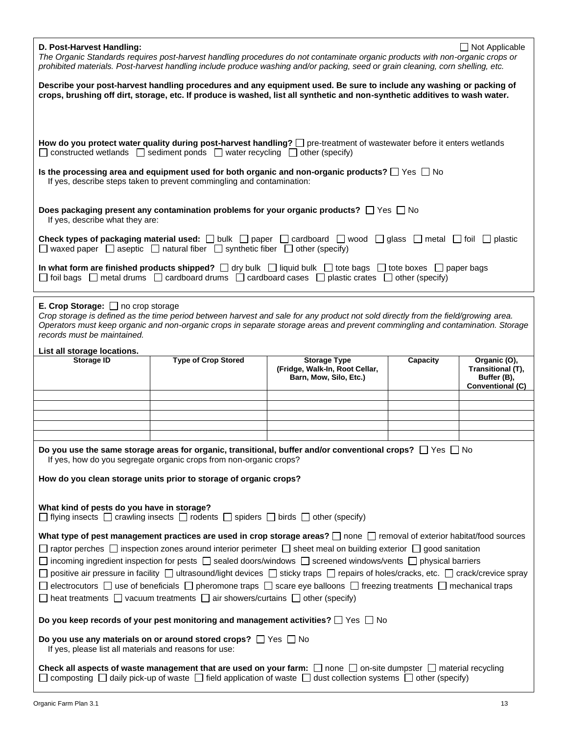| D. Post-Harvest Handling:<br>$\Box$ Not Applicable<br>The Organic Standards requires post-harvest handling procedures do not contaminate organic products with non-organic crops or<br>prohibited materials. Post-harvest handling include produce washing and/or packing, seed or grain cleaning, corn shelling, etc.                                                                                                                                                                                                                                                                                                                                                                                              |                                                                    |                                                                                                                     |          |                                                                      |  |
|---------------------------------------------------------------------------------------------------------------------------------------------------------------------------------------------------------------------------------------------------------------------------------------------------------------------------------------------------------------------------------------------------------------------------------------------------------------------------------------------------------------------------------------------------------------------------------------------------------------------------------------------------------------------------------------------------------------------|--------------------------------------------------------------------|---------------------------------------------------------------------------------------------------------------------|----------|----------------------------------------------------------------------|--|
| Describe your post-harvest handling procedures and any equipment used. Be sure to include any washing or packing of<br>crops, brushing off dirt, storage, etc. If produce is washed, list all synthetic and non-synthetic additives to wash water.                                                                                                                                                                                                                                                                                                                                                                                                                                                                  |                                                                    |                                                                                                                     |          |                                                                      |  |
|                                                                                                                                                                                                                                                                                                                                                                                                                                                                                                                                                                                                                                                                                                                     |                                                                    |                                                                                                                     |          |                                                                      |  |
| How do you protect water quality during post-harvest handling? D pre-treatment of wastewater before it enters wetlands<br>$\Box$ constructed wetlands $\Box$ sediment ponds $\Box$ water recycling $\Box$ other (specify)                                                                                                                                                                                                                                                                                                                                                                                                                                                                                           |                                                                    |                                                                                                                     |          |                                                                      |  |
| Is the processing area and equipment used for both organic and non-organic products? $\Box$ Yes $\Box$ No<br>If yes, describe steps taken to prevent commingling and contamination:                                                                                                                                                                                                                                                                                                                                                                                                                                                                                                                                 |                                                                    |                                                                                                                     |          |                                                                      |  |
| Does packaging present any contamination problems for your organic products? $\Box$ Yes $\Box$ No<br>If yes, describe what they are:                                                                                                                                                                                                                                                                                                                                                                                                                                                                                                                                                                                |                                                                    |                                                                                                                     |          |                                                                      |  |
| <b>Check types of packaging material used:</b> $\Box$ bulk $\Box$ paper $\Box$ cardboard $\Box$ wood $\Box$ glass $\Box$ metal $\Box$ foil $\Box$ plastic<br>$\Box$ waxed paper $\Box$ aseptic $\Box$ natural fiber $\Box$ synthetic fiber $\Box$ other (specify)                                                                                                                                                                                                                                                                                                                                                                                                                                                   |                                                                    |                                                                                                                     |          |                                                                      |  |
| In what form are finished products shipped? $\Box$ dry bulk $\Box$ liquid bulk $\Box$ tote bags $\Box$ tote boxes $\Box$ paper bags<br>$\Box$ foil bags $\Box$ metal drums $\Box$ cardboard drums $\Box$ cardboard cases $\Box$ plastic crates $\Box$ other (specify)                                                                                                                                                                                                                                                                                                                                                                                                                                               |                                                                    |                                                                                                                     |          |                                                                      |  |
| <b>E. Crop Storage:</b> $\Box$ no crop storage<br>Crop storage is defined as the time period between harvest and sale for any product not sold directly from the field/growing area.<br>Operators must keep organic and non-organic crops in separate storage areas and prevent commingling and contamination. Storage<br>records must be maintained.                                                                                                                                                                                                                                                                                                                                                               |                                                                    |                                                                                                                     |          |                                                                      |  |
| List all storage locations.                                                                                                                                                                                                                                                                                                                                                                                                                                                                                                                                                                                                                                                                                         |                                                                    |                                                                                                                     |          |                                                                      |  |
| <b>Storage ID</b>                                                                                                                                                                                                                                                                                                                                                                                                                                                                                                                                                                                                                                                                                                   | <b>Type of Crop Stored</b>                                         | <b>Storage Type</b><br>(Fridge, Walk-In, Root Cellar,<br>Barn, Mow, Silo, Etc.)                                     | Capacity | Organic (O),<br>Transitional (T),<br>Buffer (B),<br>Conventional (C) |  |
|                                                                                                                                                                                                                                                                                                                                                                                                                                                                                                                                                                                                                                                                                                                     |                                                                    |                                                                                                                     |          |                                                                      |  |
|                                                                                                                                                                                                                                                                                                                                                                                                                                                                                                                                                                                                                                                                                                                     |                                                                    |                                                                                                                     |          |                                                                      |  |
|                                                                                                                                                                                                                                                                                                                                                                                                                                                                                                                                                                                                                                                                                                                     |                                                                    |                                                                                                                     |          |                                                                      |  |
|                                                                                                                                                                                                                                                                                                                                                                                                                                                                                                                                                                                                                                                                                                                     | If yes, how do you segregate organic crops from non-organic crops? | Do you use the same storage areas for organic, transitional, buffer and/or conventional crops? $\Box$ Yes $\Box$ No |          |                                                                      |  |
| How do you clean storage units prior to storage of organic crops?                                                                                                                                                                                                                                                                                                                                                                                                                                                                                                                                                                                                                                                   |                                                                    |                                                                                                                     |          |                                                                      |  |
| What kind of pests do you have in storage?<br>$\Box$ flying insects $\Box$ crawling insects $\Box$ rodents $\Box$ spiders $\Box$ birds $\Box$ other (specify)                                                                                                                                                                                                                                                                                                                                                                                                                                                                                                                                                       |                                                                    |                                                                                                                     |          |                                                                      |  |
| What type of pest management practices are used in crop storage areas? $\Box$ none $\Box$ removal of exterior habitat/food sources<br>□ raptor perches □ inspection zones around interior perimeter □ sheet meal on building exterior □ good sanitation<br>$\Box$ incoming ingredient inspection for pests $\Box$ sealed doors/windows $\Box$ screened windows/vents $\Box$ physical barriers<br>$\Box$ positive air pressure in facility $\Box$ ultrasound/light devices $\Box$ sticky traps $\Box$ repairs of holes/cracks, etc. $\Box$ crack/crevice spray<br>$\Box$ electrocutors $\Box$ use of beneficials $\Box$ pheromone traps $\Box$ scare eye balloons $\Box$ freezing treatments $\Box$ mechanical traps |                                                                    |                                                                                                                     |          |                                                                      |  |
| $\Box$ heat treatments $\Box$ vacuum treatments $\Box$ air showers/curtains $\Box$ other (specify)<br>Do you keep records of your pest monitoring and management activities? $\Box$ Yes $\Box$ No                                                                                                                                                                                                                                                                                                                                                                                                                                                                                                                   |                                                                    |                                                                                                                     |          |                                                                      |  |
|                                                                                                                                                                                                                                                                                                                                                                                                                                                                                                                                                                                                                                                                                                                     |                                                                    |                                                                                                                     |          |                                                                      |  |
| Do you use any materials on or around stored crops? $\Box$ Yes $\Box$ No<br>If yes, please list all materials and reasons for use:                                                                                                                                                                                                                                                                                                                                                                                                                                                                                                                                                                                  |                                                                    |                                                                                                                     |          |                                                                      |  |
| <b>Check all aspects of waste management that are used on your farm:</b> $\Box$ none $\Box$ on-site dumpster $\Box$ material recycling<br>composting $\Box$ daily pick-up of waste $\Box$ field application of waste $\Box$ dust collection systems $\Box$ other (specify)                                                                                                                                                                                                                                                                                                                                                                                                                                          |                                                                    |                                                                                                                     |          |                                                                      |  |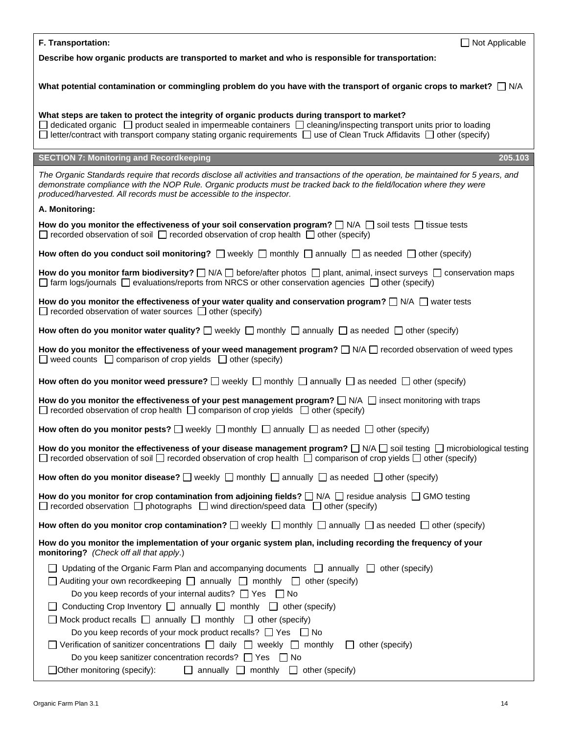| F. Transportation:<br>$\Box$ Not Applicable                                                                                                                                                                                                                                                                                                                                                                                                                                                                                                                                                                                                                                                                                                                                                                                      |  |  |  |  |
|----------------------------------------------------------------------------------------------------------------------------------------------------------------------------------------------------------------------------------------------------------------------------------------------------------------------------------------------------------------------------------------------------------------------------------------------------------------------------------------------------------------------------------------------------------------------------------------------------------------------------------------------------------------------------------------------------------------------------------------------------------------------------------------------------------------------------------|--|--|--|--|
| Describe how organic products are transported to market and who is responsible for transportation:                                                                                                                                                                                                                                                                                                                                                                                                                                                                                                                                                                                                                                                                                                                               |  |  |  |  |
| What potential contamination or commingling problem do you have with the transport of organic crops to market? $\Box$ N/A                                                                                                                                                                                                                                                                                                                                                                                                                                                                                                                                                                                                                                                                                                        |  |  |  |  |
| What steps are taken to protect the integrity of organic products during transport to market?<br>$\Box$ dedicated organic $\Box$ product sealed in impermeable containers $\Box$ cleaning/inspecting transport units prior to loading<br>$\Box$ letter/contract with transport company stating organic requirements $\Box$ use of Clean Truck Affidavits $\Box$ other (specify)                                                                                                                                                                                                                                                                                                                                                                                                                                                  |  |  |  |  |
| <b>SECTION 7: Monitoring and Recordkeeping</b><br>205.103                                                                                                                                                                                                                                                                                                                                                                                                                                                                                                                                                                                                                                                                                                                                                                        |  |  |  |  |
| The Organic Standards require that records disclose all activities and transactions of the operation, be maintained for 5 years, and<br>demonstrate compliance with the NOP Rule. Organic products must be tracked back to the field/location where they were<br>produced/harvested. All records must be accessible to the inspector.                                                                                                                                                                                                                                                                                                                                                                                                                                                                                            |  |  |  |  |
| A. Monitoring:                                                                                                                                                                                                                                                                                                                                                                                                                                                                                                                                                                                                                                                                                                                                                                                                                   |  |  |  |  |
| How do you monitor the effectiveness of your soil conservation program? $\Box$ N/A $\Box$ soil tests $\Box$ tissue tests<br>$\Box$ recorded observation of soil $\Box$ recorded observation of crop health $\Box$ other (specify)                                                                                                                                                                                                                                                                                                                                                                                                                                                                                                                                                                                                |  |  |  |  |
| How often do you conduct soil monitoring? $\Box$ weekly $\Box$ monthly $\Box$ annually $\Box$ as needed $\Box$ other (specify)                                                                                                                                                                                                                                                                                                                                                                                                                                                                                                                                                                                                                                                                                                   |  |  |  |  |
| How do you monitor farm biodiversity? $\Box$ N/A $\Box$ before/after photos $\Box$ plant, animal, insect surveys $\Box$ conservation maps<br>$\Box$ farm logs/journals $\Box$ evaluations/reports from NRCS or other conservation agencies $\Box$ other (specify)                                                                                                                                                                                                                                                                                                                                                                                                                                                                                                                                                                |  |  |  |  |
| How do you monitor the effectiveness of your water quality and conservation program? $\Box$ N/A $\Box$ water tests<br>$\Box$ recorded observation of water sources $\Box$ other (specify)                                                                                                                                                                                                                                                                                                                                                                                                                                                                                                                                                                                                                                        |  |  |  |  |
| How often do you monitor water quality? $\Box$ weekly $\Box$ monthly $\Box$ annually $\Box$ as needed $\Box$ other (specify)                                                                                                                                                                                                                                                                                                                                                                                                                                                                                                                                                                                                                                                                                                     |  |  |  |  |
| How do you monitor the effectiveness of your weed management program? $\Box$ N/A $\Box$ recorded observation of weed types<br>$\Box$ weed counts $\Box$ comparison of crop yields $\Box$ other (specify)                                                                                                                                                                                                                                                                                                                                                                                                                                                                                                                                                                                                                         |  |  |  |  |
| How often do you monitor weed pressure? $\Box$ weekly $\Box$ monthly $\Box$ annually $\Box$ as needed $\Box$ other (specify)                                                                                                                                                                                                                                                                                                                                                                                                                                                                                                                                                                                                                                                                                                     |  |  |  |  |
| How do you monitor the effectiveness of your pest management program? $\Box$ N/A $\Box$ insect monitoring with traps<br>$\Box$ recorded observation of crop health $\Box$ comparison of crop yields $\Box$ other (specify)                                                                                                                                                                                                                                                                                                                                                                                                                                                                                                                                                                                                       |  |  |  |  |
| How often do you monitor pests? $\Box$ weekly $\Box$ monthly $\Box$ annually $\Box$ as needed $\Box$ other (specify)                                                                                                                                                                                                                                                                                                                                                                                                                                                                                                                                                                                                                                                                                                             |  |  |  |  |
| How do you monitor the effectiveness of your disease management program? $\Box$ N/A $\Box$ soil testing $\Box$ microbiological testing<br>$\Box$ recorded observation of soil $\Box$ recorded observation of crop health $\Box$ comparison of crop yields $\Box$ other (specify)                                                                                                                                                                                                                                                                                                                                                                                                                                                                                                                                                 |  |  |  |  |
| How often do you monitor disease? $\Box$ weekly $\Box$ monthly $\Box$ annually $\Box$ as needed $\Box$ other (specify)                                                                                                                                                                                                                                                                                                                                                                                                                                                                                                                                                                                                                                                                                                           |  |  |  |  |
| How do you monitor for crop contamination from adjoining fields? $\Box$ N/A $\Box$ residue analysis $\Box$ GMO testing<br>$\Box$ recorded observation $\Box$ photographs $\Box$ wind direction/speed data $\Box$ other (specify)                                                                                                                                                                                                                                                                                                                                                                                                                                                                                                                                                                                                 |  |  |  |  |
| How often do you monitor crop contamination? $\Box$ weekly $\Box$ monthly $\Box$ annually $\Box$ as needed $\Box$ other (specify)                                                                                                                                                                                                                                                                                                                                                                                                                                                                                                                                                                                                                                                                                                |  |  |  |  |
| How do you monitor the implementation of your organic system plan, including recording the frequency of your<br>monitoring? (Check off all that apply.)                                                                                                                                                                                                                                                                                                                                                                                                                                                                                                                                                                                                                                                                          |  |  |  |  |
| Updating of the Organic Farm Plan and accompanying documents $\Box$ annually $\Box$ other (specify)<br>$\Box$ Auditing your own recordkeeping $\Box$ annually $\Box$ monthly $\Box$ other (specify)<br>Do you keep records of your internal audits? $\Box$ Yes $\Box$ No<br>$\Box$ Conducting Crop Inventory $\Box$ annually $\Box$ monthly $\Box$ other (specify)<br>$\Box$ Mock product recalls $\Box$ annually $\Box$ monthly $\Box$ other (specify)<br>Do you keep records of your mock product recalls? $\Box$ Yes $\Box$ No<br>$\Box$ Verification of sanitizer concentrations $\Box$ daily $\Box$ weekly $\Box$ monthly<br>other (specify)<br>$\perp$<br>Do you keep sanitizer concentration records? $\Box$ Yes $\Box$ No<br>$\Box$ Other monitoring (specify):<br>$\Box$ annually $\Box$ monthly $\Box$ other (specify) |  |  |  |  |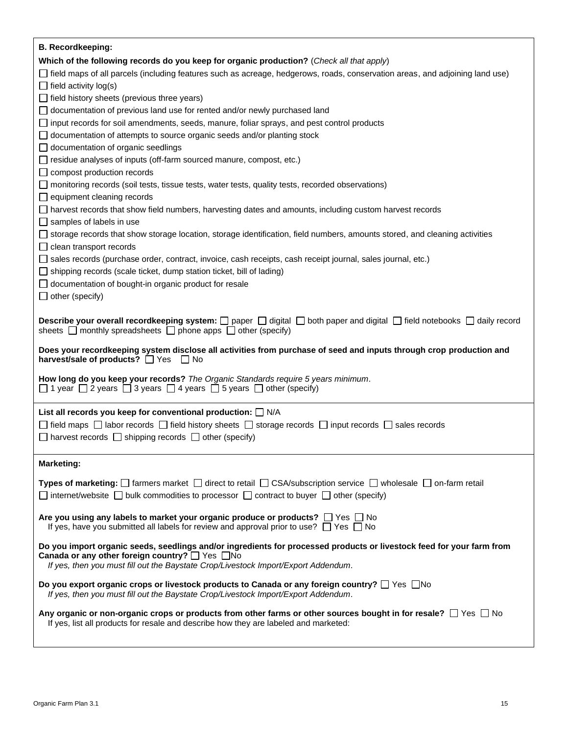| <b>B. Recordkeeping:</b>                                                                                                                                                                                                               |
|----------------------------------------------------------------------------------------------------------------------------------------------------------------------------------------------------------------------------------------|
| Which of the following records do you keep for organic production? (Check all that apply)                                                                                                                                              |
| □ field maps of all parcels (including features such as acreage, hedgerows, roads, conservation areas, and adjoining land use)                                                                                                         |
| $\Box$ field activity log(s)                                                                                                                                                                                                           |
| $\Box$ field history sheets (previous three years)                                                                                                                                                                                     |
| $\Box$ documentation of previous land use for rented and/or newly purchased land                                                                                                                                                       |
| $\Box$ input records for soil amendments, seeds, manure, foliar sprays, and pest control products                                                                                                                                      |
| $\Box$ documentation of attempts to source organic seeds and/or planting stock                                                                                                                                                         |
| $\Box$ documentation of organic seedlings                                                                                                                                                                                              |
| $\Box$ residue analyses of inputs (off-farm sourced manure, compost, etc.)                                                                                                                                                             |
| $\Box$ compost production records                                                                                                                                                                                                      |
| $\Box$ monitoring records (soil tests, tissue tests, water tests, quality tests, recorded observations)                                                                                                                                |
| $\Box$ equipment cleaning records                                                                                                                                                                                                      |
| □ harvest records that show field numbers, harvesting dates and amounts, including custom harvest records                                                                                                                              |
| $\Box$ samples of labels in use                                                                                                                                                                                                        |
| □ storage records that show storage location, storage identification, field numbers, amounts stored, and cleaning activities                                                                                                           |
| $\Box$ clean transport records                                                                                                                                                                                                         |
| □ sales records (purchase order, contract, invoice, cash receipts, cash receipt journal, sales journal, etc.)                                                                                                                          |
| $\Box$ shipping records (scale ticket, dump station ticket, bill of lading)                                                                                                                                                            |
| $\Box$ documentation of bought-in organic product for resale                                                                                                                                                                           |
| $\Box$ other (specify)                                                                                                                                                                                                                 |
|                                                                                                                                                                                                                                        |
| <b>Describe your overall recordkeeping system:</b> $\Box$ paper $\Box$ digital $\Box$ both paper and digital $\Box$ field notebooks $\Box$ daily record<br>sheets $\Box$ monthly spreadsheets $\Box$ phone apps $\Box$ other (specify) |
| Does your recordkeeping system disclose all activities from purchase of seed and inputs through crop production and<br>harvest/sale of products? □ Yes □ No                                                                            |
| How long do you keep your records? The Organic Standards require 5 years minimum.<br>$\Box$ 1 year $\Box$ 2 years $\Box$ 3 years $\Box$ 4 years $\Box$ 5 years $\Box$ other (specify)                                                  |
|                                                                                                                                                                                                                                        |
| List all records you keep for conventional production: $\Box$ N/A                                                                                                                                                                      |
| $\Box$ field maps $\Box$ labor records $\Box$ field history sheets $\Box$ storage records $\Box$ input records $\Box$ sales records                                                                                                    |
| $\Box$ harvest records $\Box$ shipping records $\Box$ other (specify)                                                                                                                                                                  |
|                                                                                                                                                                                                                                        |
| <b>Marketing:</b>                                                                                                                                                                                                                      |
| Types of marketing: $\Box$ farmers market $\Box$ direct to retail $\Box$ CSA/subscription service $\Box$ wholesale $\Box$ on-farm retail                                                                                               |
| $\Box$ internet/website $\Box$ bulk commodities to processor $\Box$ contract to buyer $\Box$ other (specify)                                                                                                                           |
|                                                                                                                                                                                                                                        |
| Are you using any labels to market your organic produce or products? $\Box$ Yes $\Box$ No<br>If yes, have you submitted all labels for review and approval prior to use? $\Box$ Yes $\Box$ No                                          |
| Do you import organic seeds, seedlings and/or ingredients for processed products or livestock feed for your farm from                                                                                                                  |
| Canada or any other foreign country? Ves No                                                                                                                                                                                            |
| If yes, then you must fill out the Baystate Crop/Livestock Import/Export Addendum.                                                                                                                                                     |
| Do you export organic crops or livestock products to Canada or any foreign country? □ Yes □ No                                                                                                                                         |
| If yes, then you must fill out the Baystate Crop/Livestock Import/Export Addendum.                                                                                                                                                     |
|                                                                                                                                                                                                                                        |
| Any organic or non-organic crops or products from other farms or other sources bought in for resale? $\Box$ Yes $\Box$ No<br>If yes, list all products for resale and describe how they are labeled and marketed:                      |